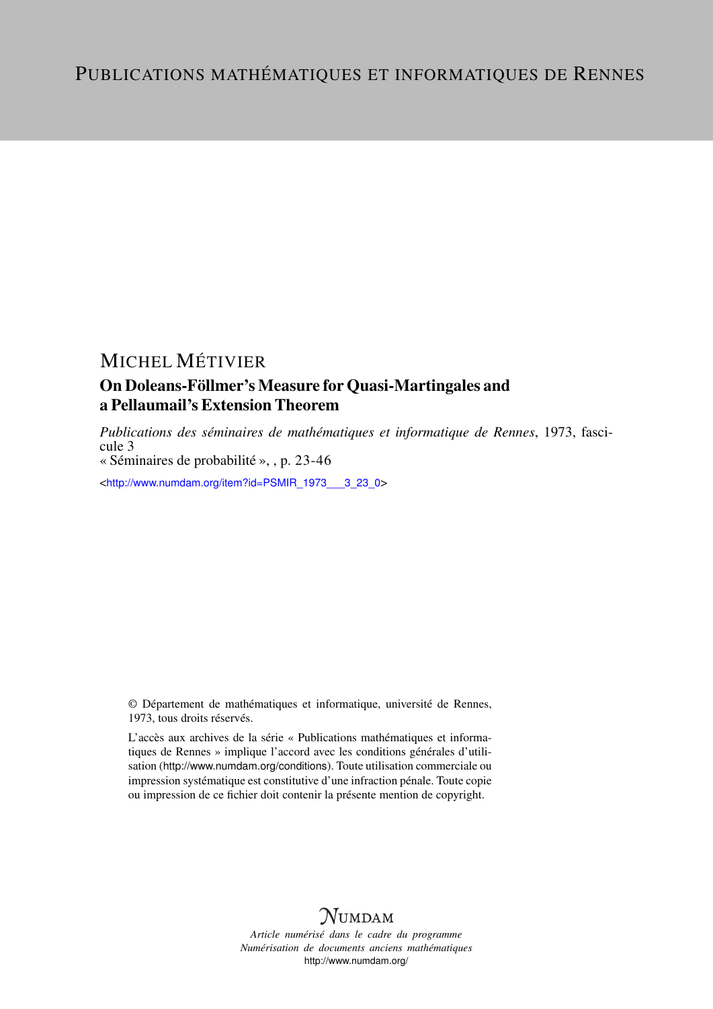## MICHEL MÉTIVIER

### On Doleans-Föllmer's Measure for Quasi-Martingales and a Pellaumail's Extension Theorem

*Publications des séminaires de mathématiques et informatique de Rennes*, 1973, fascicule 3 « Séminaires de probabilité », , p. 23-46

<[http://www.numdam.org/item?id=PSMIR\\_1973\\_\\_\\_3\\_23\\_0](http://www.numdam.org/item?id=PSMIR_1973___3_23_0)>

© Département de mathématiques et informatique, université de Rennes, 1973, tous droits réservés.

L'accès aux archives de la série « Publications mathématiques et informatiques de Rennes » implique l'accord avec les conditions générales d'utilisation (<http://www.numdam.org/conditions>). Toute utilisation commerciale ou impression systématique est constitutive d'une infraction pénale. Toute copie ou impression de ce fichier doit contenir la présente mention de copyright.



*Article numérisé dans le cadre du programme Numérisation de documents anciens mathématiques* <http://www.numdam.org/>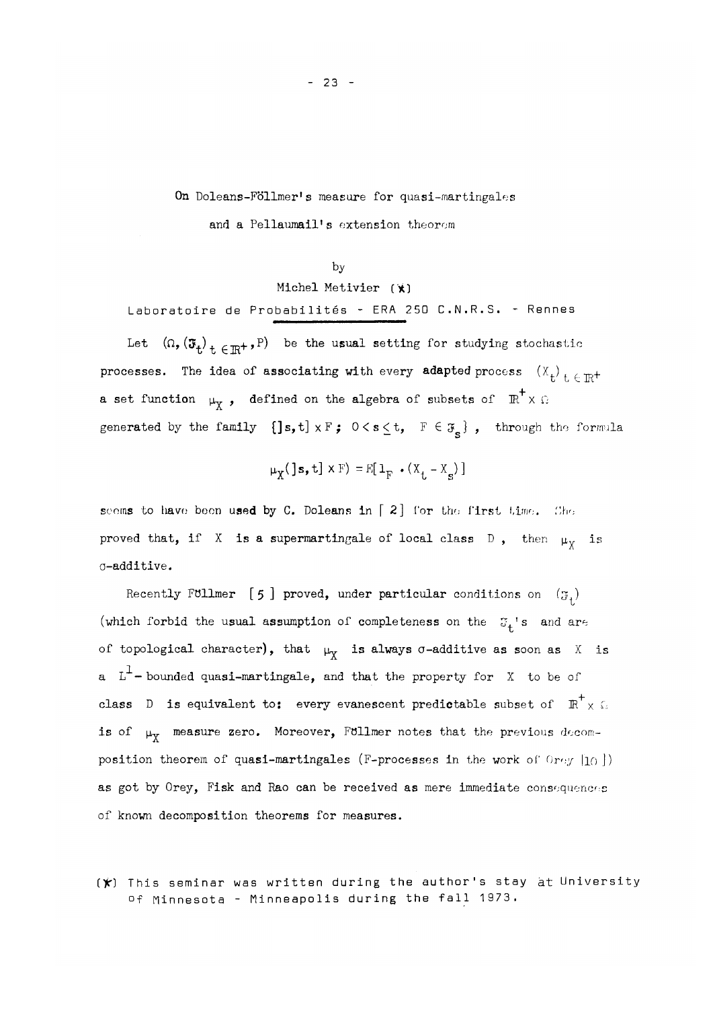On Doleans-Föllmer's measure for quasi-martingales and a Pellaumail's extension theorem

#### by

#### Michel Metivier (\*]

Laboratoire de Probabilités - ERA 250 C.N.R.S. - Rennes

Let  $(\Omega,(\mathfrak{F}_{t})_{t\in\mathbb{R}^{+}},P)$  be the usual setting for studying stochastic processes. The idea of associating with every adapted process  $(X^+_{t})^+$  ( $\pi$ <sup>+</sup> a set function  $\mu_Y$ , defined on the algebra of subsets of  $\pi^+ \times \Omega$ generated by the family  $\{]\s,t\} \times F$ ;  $0 \leq s \leq t$ ,  $F \in \mathfrak{F}_s$ , through the formula

$$
\mu_X(\text{ls}, \text{t}] \times F) = E[\mathbf{1}_F \cdot (X_t - X_s)]
$$

seems to have been used by C. Doleans in  $\lceil 2 \rceil$  for the first time. She proved that, if X is a supermartingale of local class D, then  $\mu_Y$  is o-additive.

Recently Follmer [5] proved, under particular conditions on  $(\mathfrak{F}_1)$ (which forbid the usual assumption of completeness on the  $\sigma_t$ 's and are of topological character), that  $\mu_Y$  is always  $\sigma$ -additive as soon as X is a  $L^1$ -bounded quasi-martingale, and that the property for X to be of class D is equivalent to: every evanescent predictable subset of  $\overline{R}^+ \times \overline{\mathbb{R}}$ is of  $\mu_X$  measure zero. Moreover, Föllmer notes that the previous decomposition theorem of quasi-martingales (F-processes in the work of Orey  $|10|$ ) as got by Orey, Fisk and Rao can be received as mere immediate consequences of known decomposition theorems for measures.

 $(\star)$  This seminar was written during the author's stay at University of Minnesota - Minneapolis during the fall 1973.

- 23 -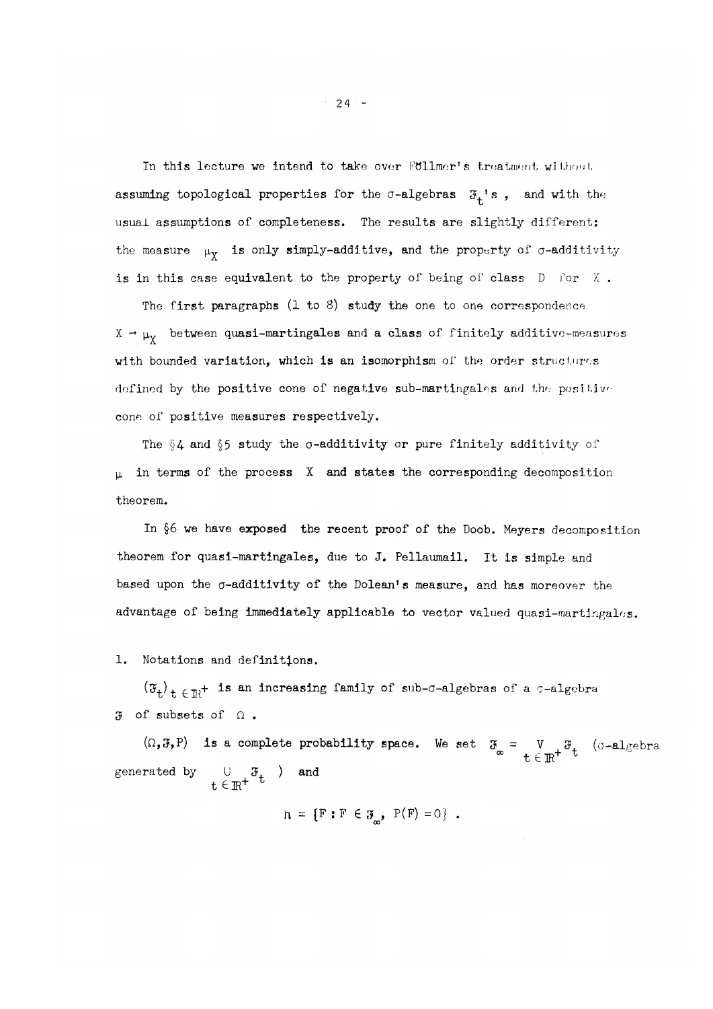In this lecture we intend to take over Follmor's treatment without assuming topological properties for the  $\sigma$ -algebras  $\mathfrak{F}^{-1}_{t}$ s, and with the usual assumptions of completeness. The results are slightly different: the measure  $\mu_X$  is only simply-additive, and the property of  $\sigma$ -additivity is in this case equivalent to the property of being of class  $D$  for  $X$ .

The first paragraphs  $(1 \text{ to } 8)$  study the one to one correspondence  $X \rightarrow \mu_X$  between quasi-martingales and a class of finitely additive-measures with bounded variation, which is an isomorphism of the order structures defined by the positive cone of negative sub-martingales and the positive cone of positive measures respectively.

The  $\S 4$  and  $\S 5$  study the  $\sigma$ -additivity or pure finitely additivity of  $\mu$  in terms of the process X and states the corresponding decomposition theorem.

In §6 we have exposed the recent proof of the Doob. Meyers decomposition theorem for quasi-martingales, due to J. Pellaumail. It is simple and based upon the  $\sigma$ -additivity of the Dolean's measure, and has moreover the advantage of being immediately applicable to vector valued quasi-martingales.

1. Notations and definitions.

 $(\mathfrak{F}_{t})$ <sub>t  $\in \mathbb{R}^{+}$  is an increasing family of sub- $\sigma$ -algebras of a  $\sigma$ -algebra</sub>  $3$  of subsets of  $\Omega$ .

 $(\Omega, \mathfrak{F}, P)$  is a complete probability space. We set  $\mathfrak{F}_{\infty} = \bigvee_{t \in \mathbb{R}^+} \mathfrak{F}_{t}$  ( $\sigma$ -algebra generated by  $\qquad \qquad \cup \quad \mathfrak{F}_{\perp}$  ) and  $\texttt{t} \in \rm I\!R^+$  t

 $n = {F : F \in \mathcal{F}, P(F) = 0}$ .

 $-24 -$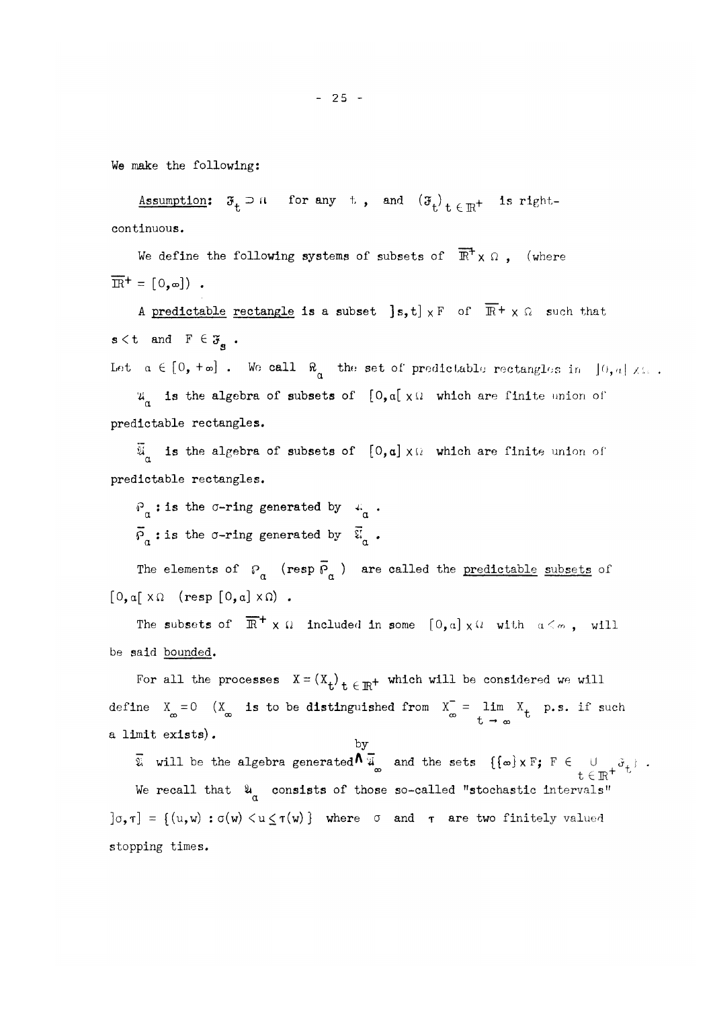We make the following:

Assumption:  $\mathfrak{F}_t \supset \mathfrak{n}$  for any t, and  $(\mathfrak{F}_t)_{t \in \mathbb{R}^+}$  is right**t t t c In.**  continuous.

We define the following systems of subsets of  $\overline{\mathbb{R}}^+ \times \Omega$ ,  $($  where  $\overline{\text{IR}}$ <sup>+</sup> = [0, ∞]).  $\mathbb{E} \left[ \mathcal{L}_{\mathcal{A}} \right] = \mathbb{E} \left[ \mathcal{L}_{\mathcal{A}} \right] = \mathbb{E} \left[ \mathcal{L}_{\mathcal{A}} \right]$ 

A predictable rectangle is a subset  $[s, t] \times F$  of  $\overline{\mathbb{R}}^+ \times \Omega$  such that  $s < t$  and  $F \in \mathfrak{F}_{\mathbf{g}}$ . s

Let  $a \in [0, +\infty]$  . We call  $\aleph_a$  the set of predictable rectangles in  $[0, a] \times \mathbb{R}$ .

 $u_a$  is the algebra of subsets of  $[0,a] \times \Omega$  which are finite union of predictable rectangles.

 $\overline{\mathfrak{A}}$  is the algebra of subsets of  $[0,a] \times \mathfrak{A}$  which are finite union of predictable rectangles.

 $P_{\alpha}$ : is the  $\sigma$ -ring generated by  $\mu_{\alpha}$ .  $\overline{p}_{\alpha}$  : is the  $\sigma$ -ring generated by  $\overline{\tilde{u}}_{\alpha}$ .

The elements of  $P^{\alpha}_{\alpha}$  (resp  $\overline{P}^{\alpha}_{\alpha}$  ) are called the predictable subsets of  $[0, a \mid \times \Omega \quad (resp \; [0, a] \times \Omega)$ .

The subsets of  $\|$   $\mathbb{R}^+ \times \Omega$  included in some  $\|0, \alpha\| \times \Omega$  with  $\alpha \leq \alpha$  , will be said bounded.

For all the processes  $X = (X_t)_{t \in \mathbb{R}^+}$  which will be considered we will **"G "D t lit**  define  $X = 0$  (X is to be distinguished from  $X = \lim_{n \to \infty} X_n$  p.s. if such **CO 00 00** u a limit exists).

 $\mathbf{v} \in \mathbf{V}$  ${\bf x}$  will be the algebra generated  ${\bf x}$  and the sets  ${\bf c}$   ${\bf t}$  ,  ${\bf y}$  .  ${\bf y}$  .  ${\bf y}$ We recall that  $\frac{u}{a}$  consists of those so-called "stochastic intervals"  $]$  $\sigma$ , $\tau$ ] = {(u,w) :  $\sigma$ (w) <  $u \leq \tau(w)$  } where  $\sigma$  and  $\tau$  are two finitely valued stopping times.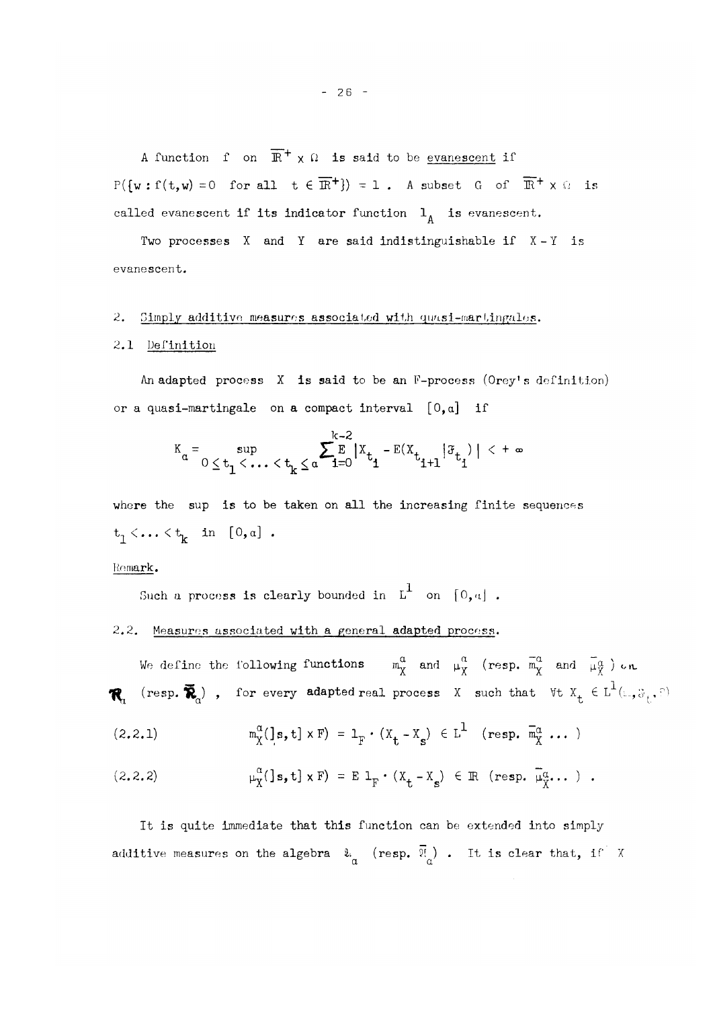A function  $f$  on  $\mathbb{R}^+ \times \Omega$  is said to be <u>evanescent</u> if  $P(\{w: f(t,w) = 0 \text{ for all } t \in \mathbb{R}^+\}) = 1$  . A subset G of  $\mathbb{R}^+ \times \Omega$  is called evanescent if its indicator function  $1^{\text{A}}$  is evanescent.

Two processes  $X$  and  $Y$  are said indistinguishable if  $X-Y$  is evanescent.

#### 2. Simply additive measures associated with quasi-martingales.

#### 2.1 Definition

An adapted process  $X$  is said to be an F-process (Orey's definition) or a quasi-martingale on a compact interval  $[0,a]$  if

$$
\kappa_{\alpha} = \sup_{0 \le t_1 < \ldots < t_k \le \alpha} \sum_{i=0}^{k-2} |x_{t_i} - E(x_{t_{i+1}} | \mathcal{F}_{t_i})| < +\infty
$$

where the sup is to be taken on all the increasing finite sequences  $t_1 < \ldots < t_k$  in  $[0,a]$ .

#### Remark,

Such a process is clearly bounded in  $L^1$  on  $[0, a]$ .

#### 2.2. Measures associated with a general adapted process.

We define the following functions  $m_X^{\alpha}$  and  $\mu_X^{\alpha}$  (resp.  $\overline{m}_X^{\alpha}$  and  $\overline{\mu}_X^{\alpha}$ ) on  $\mathcal{R}_{\mathbf{u}}$  (resp.  $\widetilde{\mathbf{R}}_{\mathbf{d}}$ ), for every adapted real process X such that  $\forall$ t  $X^{\perp}_{\mathbf{t}} \in L^{1}(\mathbf{u}, \mathbf{w}_{\mathbf{t}}, \mathbf{w})$ 

$$
(2.2.1) \t m_X^{\alpha}(\mathbf{1}_s, \mathbf{t}] \times \mathbf{F}) = 1_F \cdot (X_{\mathbf{t}} - X_s) \in \mathbb{L}^1 \t (\text{resp. } \overline{m}_X^{\alpha} \dots)
$$

$$
(2.2.2) \quad \mu_X^{\alpha}(\mathbf{1}\mathbf{s},\mathbf{t}) \times \mathbf{F}) = \mathbf{E} \mathbf{1}_{\mathbf{F}} \cdot (\mathbf{X}_{\mathbf{t}} - \mathbf{X}_{\mathbf{S}}) \in \mathbb{R} \quad (\text{resp. } \overline{\mu}_X^{\alpha} \dots) .
$$

It is quite immediate that this function can be extended into simply additive measures on the algebra  $\ell_{\alpha}$  (resp.  $\overline{\ell}_{\alpha}$ ). It is clear that, if X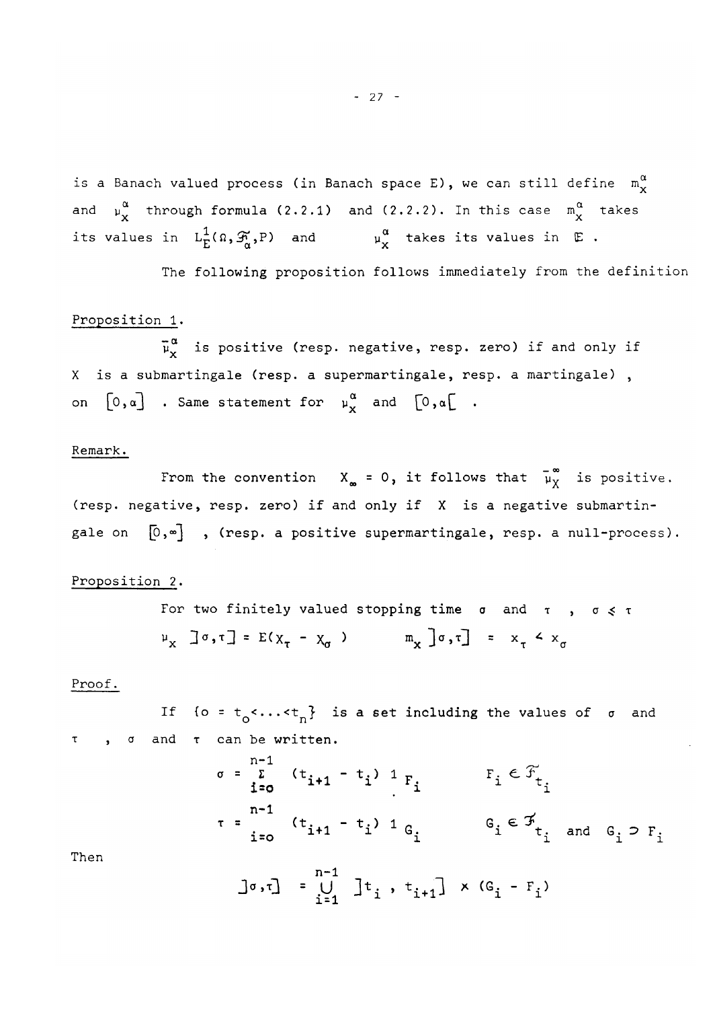is a Banach valued process (in Banach space E), we can still define  $m_{\chi}^{\alpha}$ and  $\mu_{\mathbf{X}}^+$  through formula (2.2.1) and (2.2.2). In this case  $\mu_{\mathbf{X}}^+$  takes its values in  $L_{E}^{1}(\Omega, \mathcal{F}_{\alpha},P)$  and  $\mu_{x}^{\alpha}$  takes its values in  $E$ .  $E = \frac{1}{2}$ 

The following proposition follows immediately from the definition

#### Proposition 1.

 $\overline{\mu}_{x}^{\alpha}$  is positive (resp. negative, resp. zero) if and only if X is a submartingale (resp. a supermartingale, resp. a martingale), on  $[0, \alpha]$  . Same statement for  $\mu_X^{\alpha}$  and  $[0, \alpha]$  .

#### Remark.

From the convention  $X_{\infty} = 0$ , it follows that  $\overline{\mu}_{X}^{\infty}$  is positive.  $\mathcal{F}_{\mathcal{F}}$  , it follows that yie follows that  $\mathcal{F}_{\mathcal{F}}$  is positive , it follows that  $\mathcal{F}_{\mathcal{F}}$ (resp. negative , resp. negative , respective submartin-  $\alpha$  is a negative submartin-  $\alpha$  is a negative submartingale on

#### Proposition 2.

For two finitely valued stopping time  $\sigma$  and  $\tau$  ,  $\sigma \leq \tau$  $\mu_x$   $\exists \sigma, \tau \exists = E(X_\tau - X_\sigma)$   $\qquad \pi_x$   $\exists \sigma, \tau \exists = x_\tau \land x$ 

#### Proof.

lt {o = t<sub>o</sub><...<t<sub>n</sub>} is a set including the values of σ and **T ,** *a* and **T** can be written .

$$
\sigma = \sum_{i=0}^{n-1} (t_{i+1} - t_i) 1_{F_i}
$$
  
\n
$$
\tau = \sum_{i=0}^{n-1} (t_{i+1} - t_i) 1_{G_i}
$$
  
\n
$$
F_i \in \mathcal{F}_{t_i}
$$
  
\n
$$
G_i \in \mathcal{F}_{t_i}
$$
 and  $G_i \supset F_i$ 

Then

$$
\bigg] \sigma, \tau \bigg] = \bigcup_{i=1}^{n-1} \bigg] \tau_i, \ \tau_{i+1} \bigg] \times (G_i - F_i)
$$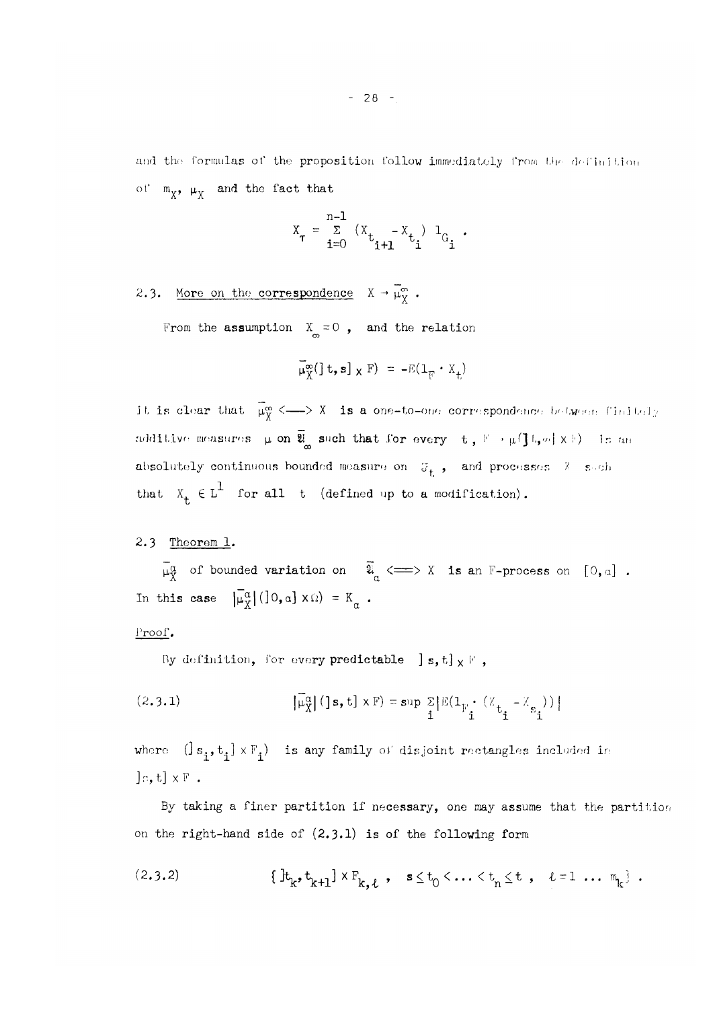and the formulas of the proposition follow immediately from the definition of  $m_{\chi}$ ,  $\mu_{\chi}$  and the fact that

$$
X_{\tau} = \sum_{i=0}^{n-1} (X_{t_{i+1}} - X_{t_i}) I_{G_i}.
$$

2.3. More on the correspondence  $X \rightarrow \mu_X^{\omega}$ .

From the assumption  $X_{\infty} = 0$ , and the relation

$$
\overline{\mu}_{X}^{\infty}(\mathbf{z},\mathbf{s}) \times \mathbf{F}) = -\mathbb{E}(\mathbf{1}_{\mathbf{F}} \cdot \mathbf{X}_{t})
$$

it is clear that  $\bar{\mu}_{\bar{X}}^{\infty}$  <---> X is a one-to-one correspondence between finitely additive measures  $\mu$  on  $\overline{\mathfrak{V}}_{\infty}$  such that for every  $t$ ,  $\mathbb{F} \rightarrow \mu(\mathbf{J} \mathbb{I}, \mu) \times \mathbb{H}$  is an absolutely continuous bounded measure  $\mathbf{1}$ 

2.3 Theorem 1.

 $\overline{\mu}_{X}^{\alpha}$  of bounded variation on  $\overline{\mathfrak{A}}_{\alpha} \Longleftarrow \searrow X$  is an F-process on [0,a]. In this case  $|\bar{\mu}_{X}^{\alpha}|$  (10,  $\alpha$ )  $\times$   $\Omega$ ) =  $K_{\alpha}$ .

Proof.

By definition, for every predictable  $[s, t] \times F'$ ,

that  $\mathcal{X}^{\mathcal{A}}$  for all the defined up to a modification) . The all the all the all the anomalous set

(2.3.1) 
$$
\left| \tilde{\mu}_{X}^{\alpha} \right| (] \mathbf{s}, \mathbf{t} \times \mathbf{F}) = \sup_{\mathbf{i}} \sum_{i} \left| \mathbb{E} (\mathbf{1}_{F_{\mathbf{i}}} \cdot (\mathbf{X}_{t_{\mathbf{i}}} - \mathbf{X}_{s_{\mathbf{i}}})) \right|
$$

where  $([s^{\prime},t^{\prime}_1] \times \mathbb{F}^{}_{1})$  is any family of disjoint rectangles included in  $\left[ \cdot \right]$ *r*, t $\left[ \cdot \right]$   $\times$  F .

By taking a finer partition if necessary, one may assume that the partition on the right-hand side of (2.3.1) is of the following form

(2.3.2) HVW ^ *<sup>X</sup> \ l <sup>9</sup> -* < <sup>t</sup> <sup>n</sup> <  *> 1 = 1 ... \] .*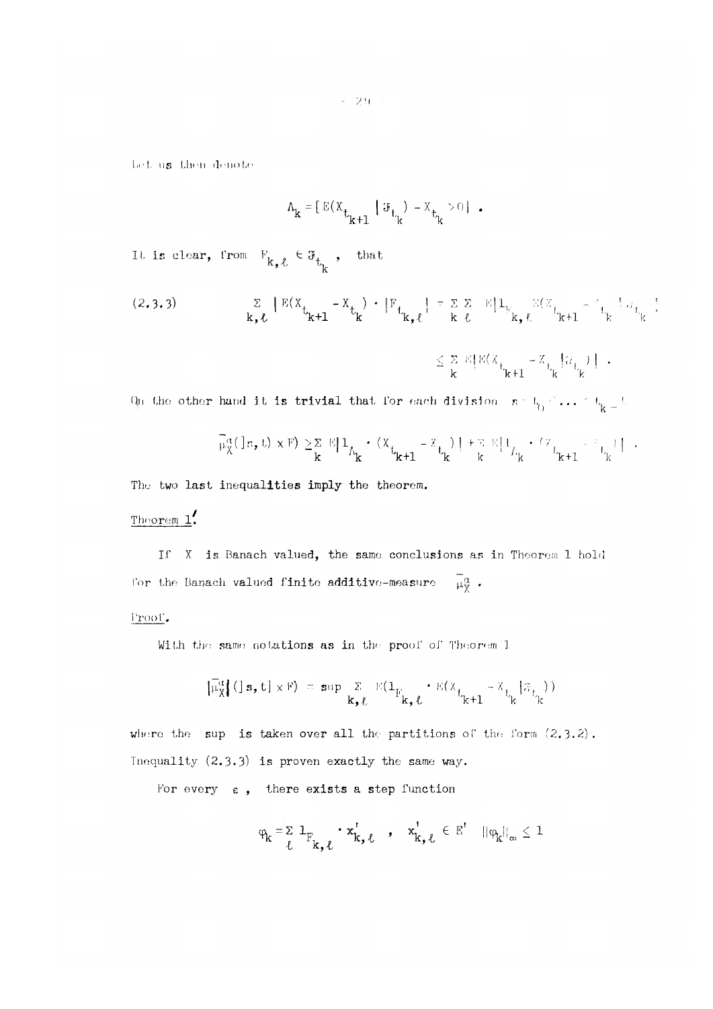*- 29 -*

I **.el,** us **then denot e** 

$$
\Lambda_{\mathbf{k}} = \left[ \mathbf{E}(X_{t_{k+1}} \mid \mathcal{F}_{t_k}) - X_{t_k} > 0 \right] .
$$

It is clear, from  $V_{\mathbf{r} - \mathbf{r}} \in \mathfrak{F}_+$  , that  $k, \nu$ , the track  $k$ 

$$
(2.3.3) \qquad \qquad \Sigma \qquad |E(X_{t_{k+1}} - X_{t_k})| \cdot |F_{t_{k,\ell}}| = \Sigma \Sigma \qquad |1_{t_{k,\ell}} \qquad |X_{t_{k+1}} - t_{t_k}| \leq \epsilon
$$

$$
\leq \frac{\Sigma}{\mathbf{k}} \mathbb{E}\big[\mathbb{E}\big(\mathbb{X}_{t_{k+1}} - \mathbb{X}_{t_{k}}\big|\mathbb{G}_{t_{k}}\big)\big] \hspace{1mm} + \hspace{1mm}
$$

Qn the other hand it is trivial that for each division  $s = t_0 \leq \ldots \leq t_k \leq t$ .

$$
\widetilde{\mu}_X^{\alpha}(\exists\,s,\,t)\,\times\mathbb{F})\,\geq\,\underset{\mathbf{k}}{\Sigma}\,\mathbb{E}[\,\mathbf{1}_{\Lambda_{\mathbf{k}}}+\,(x_{\mathbf{t_{k+1}}}-x_{\mathbf{t_{k}}})\,+\,\mathbb{E}\,\mathbb{E}[\,\mathbf{1}_{\Lambda_{\mathbf{k}}}+\,(z_{\mathbf{t_{k+1}}}-z_{\mathbf{t_{k}}})\,]\quad.
$$

The two last inequalities imply the theorem.

### Theorem *l(*

If X is Banach valued, the same conclusions as in Theorem 1 hold For the Banach valued finite additive-measure  $\overline{\mu}_{X}^{\alpha}$ .

#### Proof.

With the same notations as in the proof of Theorem 1

$$
\left[\overline{\mu}_{X}^{\alpha}[(\exists s, t] \times F) = \sup_{k \in \mathcal{L}} \Sigma E(\mathbf{1}_{F_{k, \ell}} \cdot E(\mathbf{X}_{t_{k+1}} - \mathbf{X}_{t_k} | \mathcal{F}_{t_k}))\right]
$$

where the sup is taken over all the partitions of the form  $(2,3,2)$ . Inequality (2.3-3) is proven exactly the same way.

For every  $\varepsilon$ , there exists a step function

$$
\phi_k = \sum_{\ell} 1_{F_{k,\ell}} \cdot x_{k,\ell}^{\dagger} \quad , \quad x_{k,\ell}^{\dagger} \in E^{\dagger} \quad ||\phi_k||_{\infty} \leq 1
$$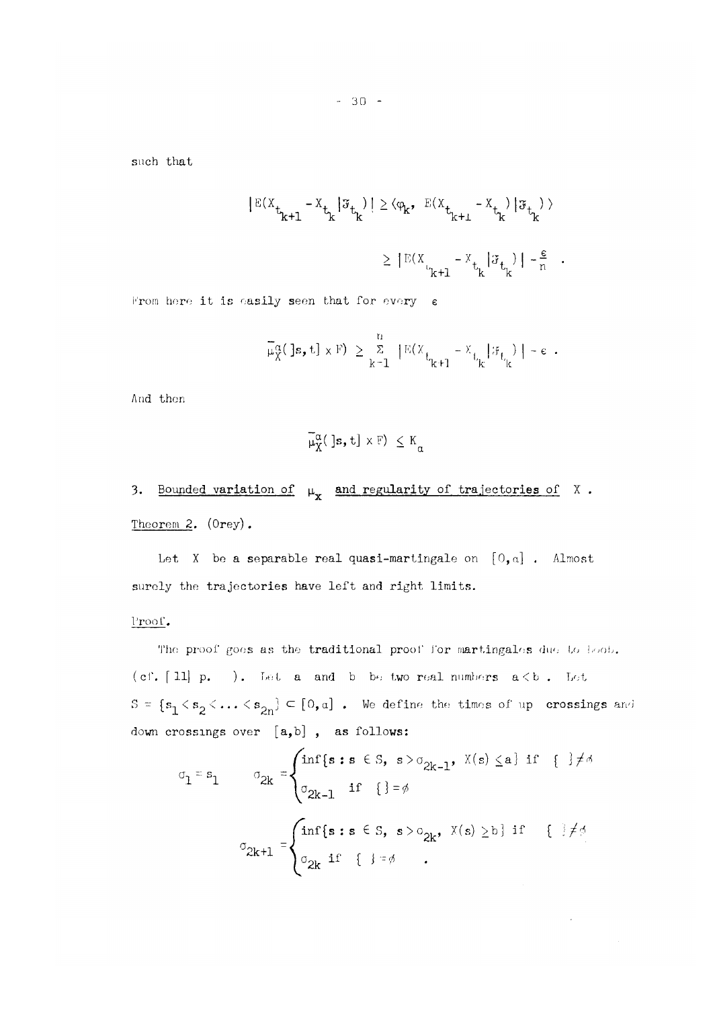such that

$$
|\mathbb{E}(X_{t_{k+1}} - X_{t_k}|\mathcal{F}_{t_k})| \ge \langle \varphi_k, \mathbb{E}(X_{t_{k+1}} - X_{t_k})|\mathcal{F}_{t_k}\rangle
$$
  

$$
\ge |\mathbb{E}(X_{t_{k+1}} - X_{t_k}|\mathcal{F}_{t_k})| - \frac{\epsilon}{n}.
$$

From here it is easily seen that for every  $\varepsilon$ 

$$
\overline{\mu}_{X}^{\alpha}(\cdot \mid \mathbf{s}, t] \times F) \geq \sum_{k=1}^{n} |E(X_{t_{k+1}} - X_{t_{k}} | \mathcal{F}_{t_{k}}) | - \varepsilon.
$$

And then

$$
\overline{\mu}_X^{\alpha}(\ ]\mathbf{s},\mathbf{t}]\times \mathbb{F})\ \leq \mathrm{K}_{\alpha}
$$

# 3. Bounded variation of  $\mu_X$  and regularity of trajectories of X. Theorem **2.** (Orey) .

Let X be a separable real quasi-martingale on **[0**,a] . Almost surely the trajectories have left and right limits.

Proof.

The proof goes as the traditional proof for martingales due to boot. (cf.  $[11]$  p. ). Let a and b be two real numbers  $a < b$ . Let  $S = \{s_1 < s_2 < \ldots < s_{2n}\} \subset [0,a]$  . We define the times of up crossings and down crossings over [a,b], as follows:

$$
\sigma_1 = s_1 \qquad \sigma_{2k} = \begin{cases} \inf\{s : s \in S, s > \sigma_{2k-1}, X(s) \le a\} & \text{if } \{\frac{1}{2}\neq\sigma\} \\ \sigma_{2k-1} & \text{if } \{\frac{1}{2} = \phi \} \end{cases}
$$

$$
\sigma_{2k+1} = \begin{cases} \inf\{s : s \in S, s > \sigma_{2k}, X(s) \ge b\} & \text{if } \{\frac{1}{2}\neq\sigma\} \\ \sigma_{2k} & \text{if } \{\frac{1}{2} = \phi \} \end{cases}
$$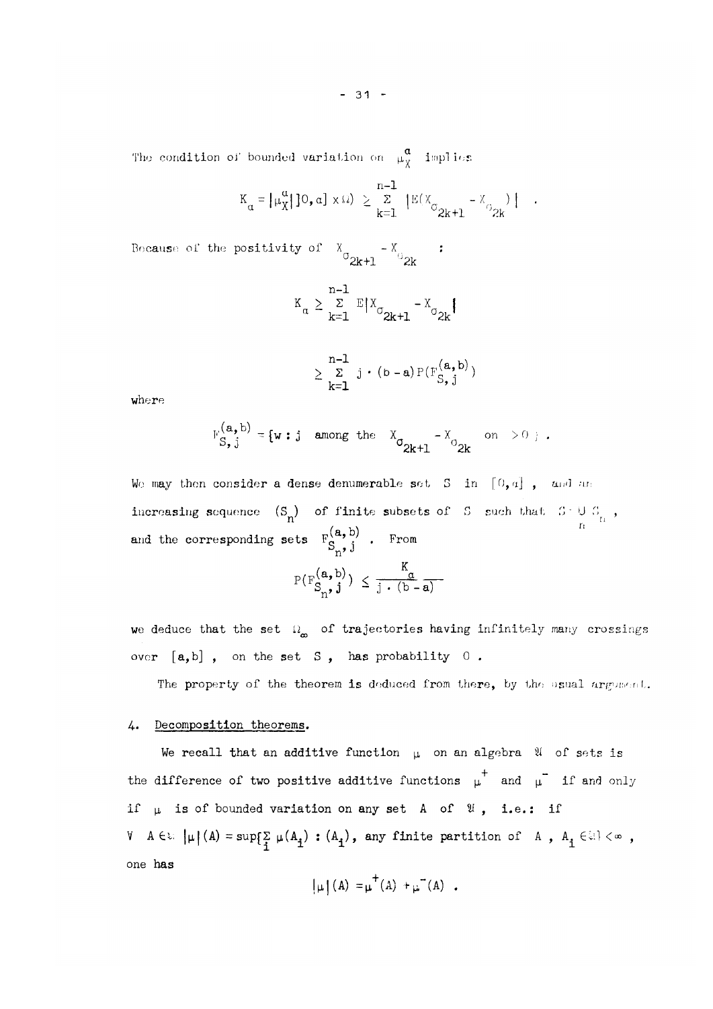The condition of bounded variation on  $\mu_{\widetilde{X}}^-$  implies  $\overline{X}$ 

$$
K_{\alpha} = \left\{ \mu_X^{\alpha} \middle| \left[ 0, \alpha \right] \times \Omega \right\} \ge \sum_{k=1}^{n-1} \left\{ \mathbb{E}(X_{\sigma_{2k+1}} - X_{\sigma_{2k}}) \middle| \right\}.
$$

Because of the positivity of  $X_{\alpha} = -X_{\alpha}$  : °2k+l *"2k* 

$$
\kappa_{\alpha} \geq \sum_{k=1}^{n-1} \mathbb{E} |X_{\sigma_{2k+1}} - X_{\sigma_{2k}}|
$$

$$
\geq \sum_{k=1}^{n-1} j \cdot (b-a) P(F_{S,j}^{(a,b)})
$$

where

$$
\mathrm{F}_{S,\,j}^{(\mathbf{a},\,\mathbf{b})}=\{\mathbf{w}:\,j\quad\text{among the}\quad \mathrm{X}_{\sigma_{2k+1}}-\mathrm{X}_{\sigma_{2k}}\quad\text{on}\quad \text{for}\quad
$$

We may then consider a dense denumerable set S in  $[0, a]$ , and an increasing sequence  $(S_n)$  of finite subsets of S such that  $S \cup S_{n}$ , and the corresponding sets  $F_c^{(a, b)}$  . From  $n'$ 

$$
P(F_{S_n}^{(a, b)}) \leq \frac{K_{\alpha}}{j \cdot (b - a)}
$$

we deduce that the set  $\Omega_{\infty}$  of trajectories having infinitely many crossings over  $[a,b]$ , on the set S, has probability 0.

The property of the theorem is deduced from there, by the usual argument.

#### 4-. Decomposition theorems.

We recall that an additive function  $\mu$  on an algebra  $\mathcal U$  of sets is the difference of two positive additive functions  $\mu^+$  and  $\mu^-$  if and only if  $\mu$  is of bounded variation on any set A of  $\mathfrak{A}$ , i.e.: if  $V$  A  $\in$   $\mathbb{R}$   $\left| \mu \right|$  (A) = sup $\left\{ \sum\limits_{i=1}^{n} \mu(A_i) : (A_i)$ , any finite partition of A,  $A_i \in \mathbb{R} \right\}$   $\left\{ \infty \right\}$ , one has

$$
\left[\mu\right](A) = \mu^{\top}(A) + \mu^{\top}(A) .
$$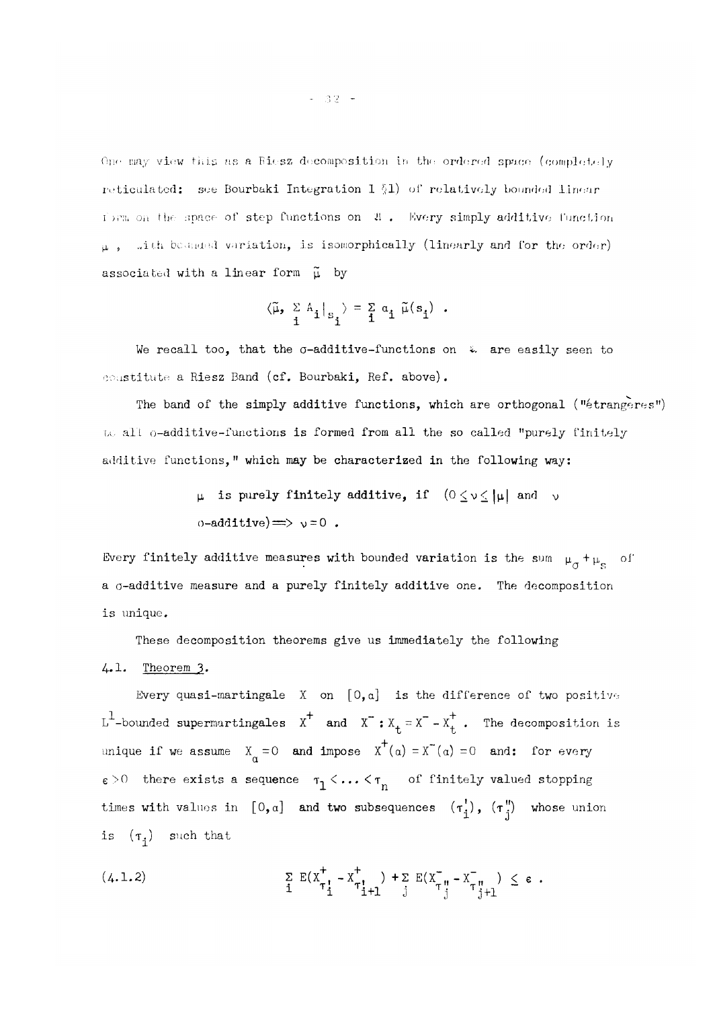One may view this as a Riesz decomposition in the ordered space (completely reticulated: see Bourbaki Integration I §1) of relatively bounded linear *i* ) and the space of step functions on  $\mathfrak{A}$ . Every simply additive function  $\mu$ , with bounded variation, is isomorphically (linearly and for the order) associated with a linear form  $\tilde{\mu}$  by

$$
\langle \widetilde{\mu},\begin{array}{cc} \Sigma \mathbb{A}_1 \\ i \end{array} \big|_{\mathbb{S}^{-1}_1} \rangle = \begin{array}{ccc} \Sigma & \alpha_1 \ \widetilde{\mu}(\mathbb{S}_1) \end{array}.
$$

We recall too, that the  $\sigma$ -additive-functions on  $\ddot{\bm{\varepsilon}}$  are easily seen to constitute a Riesz Band (cf. Bourbaki, Ref. above).

The band of the simply additive functions, which are orthogonal ("étrangères") to all o-additive-functions is formed from all the so called "purely finitely additive functions," which may be characterized in the following way:

> $\mu$  is purely finitely additive, if  $(0 \le v \le |\mu|)$  and v  $o$ -additive)  $\Longrightarrow \neg v = 0$ .

Every finitely additive measures with bounded variation is the sum  $\mu_\omega$  + a o-additive measure and a purely finitely additive one. The decomposition is unique.

These decomposition theorems give us immediately the following 4.1. Theorem 3.

Every quasi-martingale X on **[0**,a] is the difference of two positive  $L^1$ -bounded supermartingales  $x^+$  and  $x^- : X_t = x^- - X_t^+$ . The decomposition is unique if we assume  $X_{\alpha} = 0$  and impose  $X^+ (\alpha) = X^-(\alpha) = 0$  and: for every  $\varepsilon > 0$  there exists a sequence  $\tau_1 < \ldots < \tau_n$  of finitely valued stopping times with values in  $[0, a]$  and two subsequences  $(\tau_i^{'})$ ,  $(\tau_j^{''})$  whose union is  $(\tau_i)$  such that

(4.1.2) 
$$
\sum_{i} E(X_{\tau_{i}^{1}}^{+} - X_{\tau_{i}^{1}}^{+}) + \sum_{j} E(X_{\tau_{j}^{1}}^{-} - X_{\tau_{j}^{1}}^{-}) \leq \epsilon.
$$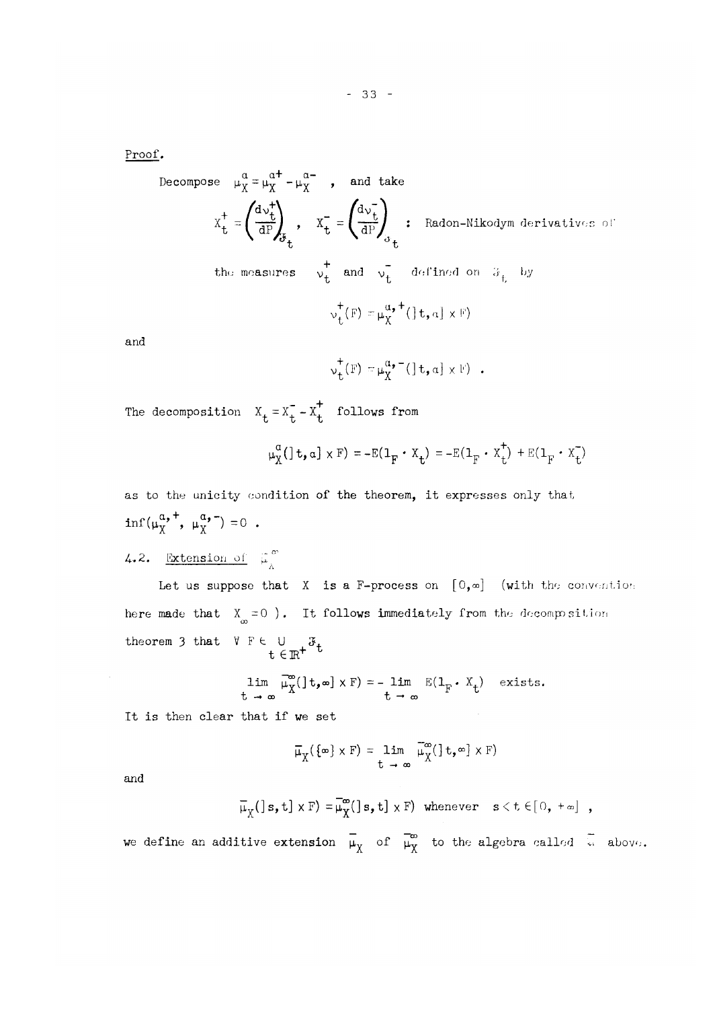Proof.

Decompose 
$$
\mu_X^{\alpha} = \mu_X^{\alpha^+} - \mu_X^{\alpha^-}
$$
, and take  
\n
$$
X_t^+ = \left(\frac{d\nu_t^+}{dP}\right)_{\delta_t}, \quad X_t^- = \left(\frac{d\nu_t^-}{dP}\right)_{\delta_t} : \text{Radon-Nikodym derivatives of}
$$
\nthe measures  $\nu_t^+$  and  $\nu_t^-$  defined on  $\mathcal{F}_t$  by  
\n $\nu_t^+(F) = \mu_X^{\alpha,+}(\ ]t, a] \times F$ 

and

$$
\mathsf{v}_{\mathsf{t}}^{\dagger}(\mathbb{F}) = \mathsf{\mu}_{\mathsf{X}}^{\alpha_{\bullet} -}(\, \mathbf{1}_{\mathsf{t},\alpha} \mathbf{1} \times \mathbb{F})
$$

The decomposition  $X_t = X_t^- - X_t^+$  follows from

$$
\mu_X^{\alpha}(\mathbf{1} \mathbf{t}, \mathbf{a}] \times \mathbf{F}) = -\mathbf{E}(\mathbf{1}_{\mathbf{F}} \cdot \mathbf{X}_{\mathbf{t}}) = -\mathbf{E}(\mathbf{1}_{\mathbf{F}} \cdot \mathbf{X}_{\mathbf{t}}^{\dagger}) + \mathbf{E}(\mathbf{1}_{\mathbf{F}} \cdot \mathbf{X}_{\mathbf{t}}^{\dagger})
$$

as to the unit to the unit theorem, it expresses only that the theorem, it expresses only that  $\alpha$  $\inf(\mu^{\alpha, +}_X, \mu^{\alpha, -}_X) = 0$ .

4.2. Extension of 
$$
\overline{\mu}_{\lambda}^{\infty}
$$

here made that  $X_{\infty} = 0$  ). It follows immediately from the decomposition theorem 3 that  $V F \in U \cup \mathcal{F}_t$ t e R'

$$
\lim_{t \to \infty} \overline{\mu}_{X}^{\infty}(\ ]t, \infty] \times F) = - \lim_{t \to \infty} E(1_F \cdot X_t) \quad \text{exists.}
$$

It is then clear that if we set

$$
\overline{\mu}_{\overline{X}}(\{\infty\} \times F) = \lim_{t \to \infty} \overline{\mu}_{\overline{X}}^{\infty}(\,] t, \infty] \times F)
$$

and

$$
\overline{\mu}_{\chi}(s,t] \times F) = \overline{\mu}_{\chi}^{\infty}(s,t] \times F) \text{ whenever } s < t \in [0, +\infty] ,
$$

we define an additive extension  $\bar{\mu}_{X}$  of  $\bar{\mu}_{X}^{\infty}$  to the algebra called  $\bar{\lambda}$  above.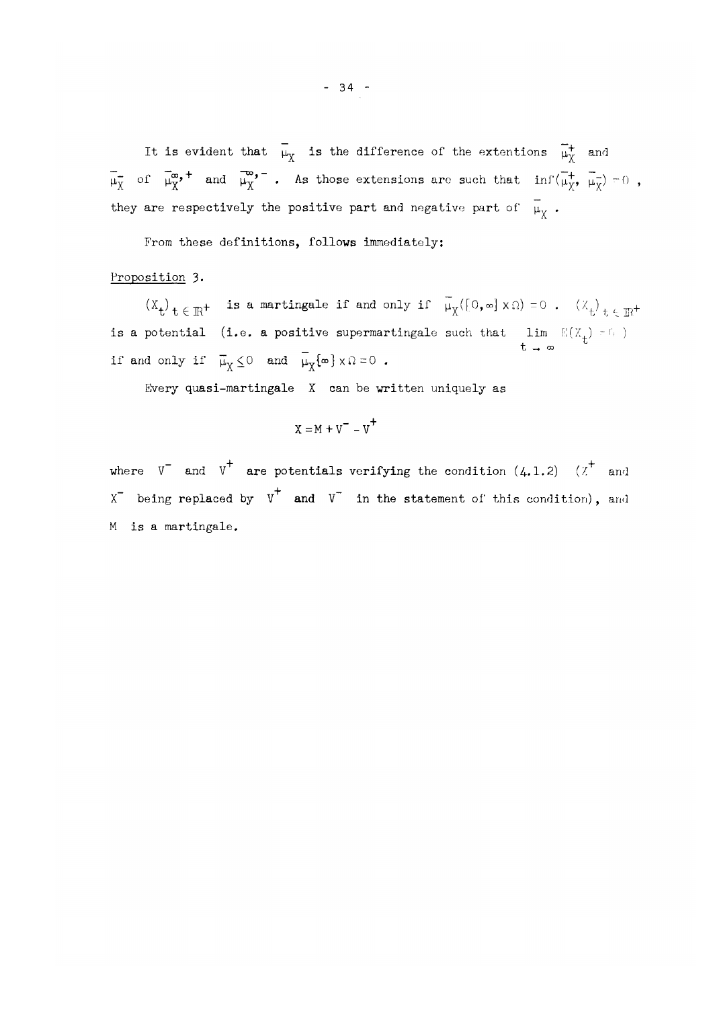It is evident that  $\overline{\mu}_{X}$  is the difference of the extentions  $\overline{\mu}_{X}^{+}$  and  $\overline{\mathsf{O1}}$   $\overline{\mathsf{\mu_Y}}$  and  $\overline{\mathsf{\mu_Y}}$  . As those extensions are such that  $\overline{\mathsf{nn}}(\overline{\mathsf{\mu_Y}}, \overline{\mathsf{\mu_Y}}) = 0$  , they are respectively the positive part and negative part of  $\mu_{\chi}$  .

From these definitions, follows immediately:

Proposition 3.

 $(X_t)_{t \in \mathbb{R}^+}$  is a martingale if and only if  $\overline{\mu}_X([0, \infty] \times \Omega) = 0$  .  $(X_t)_{t \in \mathbb{R}^+}$ is a boomeral (i.e. a behindre substitute substitute such that  $\frac{1}{n}$   $\frac{1}{n}$  $\overline{u}$  f<sub>m</sub>  $\overline{u}$   $\overline{v}$  -0 if and only if  $\overline{\mu}_X \leq 0$  and  $\overline{\mu}_X \{\infty\} \times \Omega = 0$ .

Every quasi-martingale X can be written uniquely as

$$
X = M + V^- - V^+
$$

where  $V^-$  and  $V^+$  are potentials verifying the condition  $(4.1.2)$   $(X^+$  and  $X^-$  being replaced by  $V^+$  and  $V^-$  in the statement of this condition), and M is a martingale.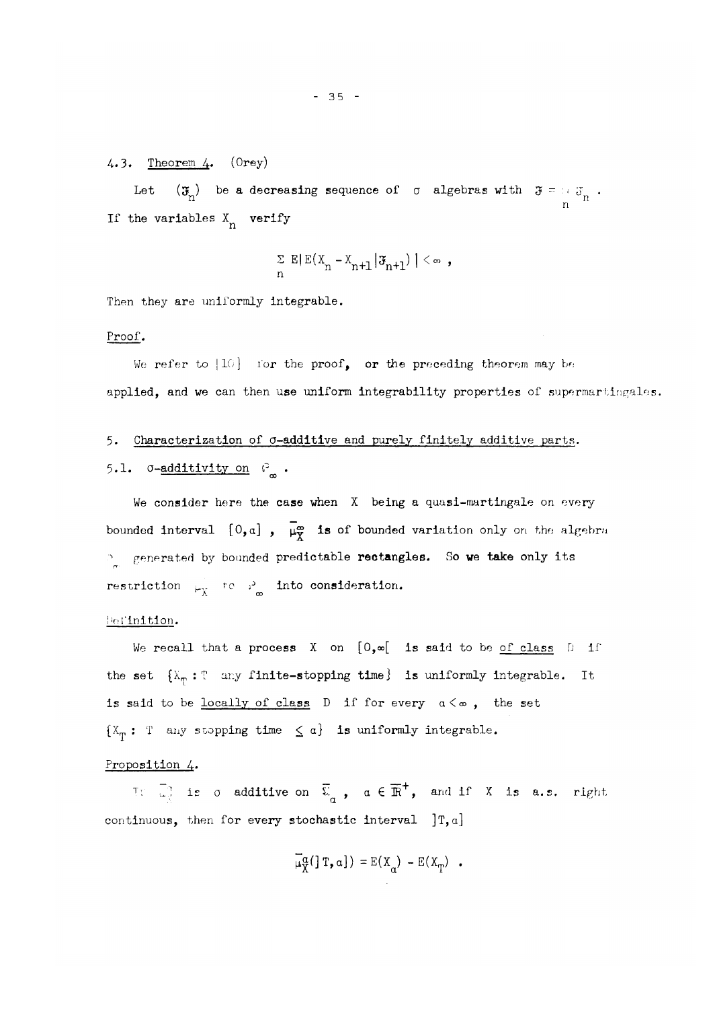### 4.3. Theorem  $4.$  (Orey)

Let  $(\mathfrak{F}_{\! \! \alpha})$  be a decreasing sequence of  $\sigma$  algebras with  $\mathfrak{F}=\oplus_{i \in \mathcal{J}_{\alpha}}$ n If the variables  $X_n$  verify

$$
\sum_{n} \mathbb{E} \left( \mathbb{E} (X_n - X_{n+1} | \mathfrak{F}_{n+1}) \mid \, \leq \infty \right),
$$

Then they are uniformly integrable.

#### Proof.

We refer to  $|10|$  for the proof, or the preceding theorem may be applied, and we can then use uniform integrability properties of supermartingales.

# 5. Characterization of  $\sigma$ -additive and purely finitely additive parts. 5.1.  $\sigma$ -additivity on  $\mathcal{S}_{m}$ .

We consider here the case when X being a quasi-martingale on every bounded interval  $[0,a]$ ,  $\overline{\mu}_{\overline{X}}^{\infty}$  is of bounded variation only on the algebra  $\mathcal{P}_z$  generated by bounded predictable rectangles. So we take only its restriction  $\mu_{\chi}$  to i<sub>n</sub> into consideration.

#### Definition.

We recall that a process  $X$  on  $[0,\infty[$  is said to be of class  $D$  if the set  $\{X_{\tau_i} : \mathbb{T} \text{ any finite-stopping time}\}$  is uniformly integrable. It is said to be <u>locally of class</u>  $D$  if for every  $\alpha < \infty$ , the set  $\{X_{\tau}: \mathbb{T} \text{ any stopping time } \leq \alpha\}$  is uniformly integrable.

#### Proposition 4.

Tf *Z'l* is o additive on £ , a € ]R<sup>+</sup> , and if X is a.s. right *a*  continuous, then for every stochastic interval  $[T, a]$ 

$$
\overline{\mu}_{X}^{\alpha}(\text{Tr},\alpha]) = E(X_{\alpha}) - E(X_{T}) \quad .
$$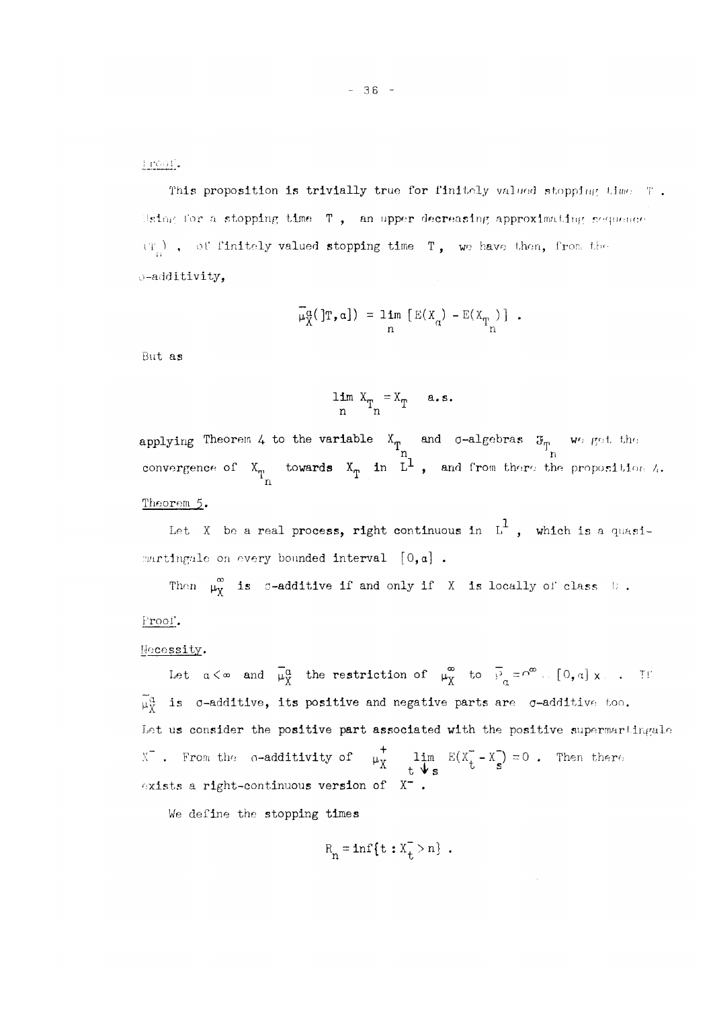inoul.

This proposition is trivially true for finitely valued stopping time T. Using for a stopping time  $T$ , an upper decreasing approximating sequence (T *)* , of finitely valued stopping time T , we have then, from the o-additivity,

$$
\overline{\mu}_{X}^{\alpha}(\mathbf{r},\mathbf{a}) = \lim_{n} \left[ \mathbf{E}(X_{\alpha}) - \mathbf{E}(X_{T_{n}}) \right] .
$$

But as

$$
\lim_{n} X_{T_{n}} = X_{T} \quad a.s.
$$

applying Theorem 4 to the variable  $X^{\dagger}_{\mathbf{m}}$  and  $\sigma$ -algebras  $\mathfrak{F}_{\mathbf{m}}$  we get the n n convergence of  $X_{\overline{n}}$  towards  $X_{\overline{n}}$  in  $L^+$  , and from there the proposition  $\wedge$ . n Theorem **5.** 

Let X be a real process, right continuous in  $L^1$ , which is a quasimartingale on every bounded interval  $[0,a]$ .

Then  $\mu^{\infty}_X$  is c-additive if and only if X is locally of class h.

Proof.

#### Necessity.

Let  $\alpha < \infty$  and  $\overline{\mu}_{X}^{\alpha}$  the restriction of  $\mu_{X}^{\infty}$  to  $\overline{P}_{\alpha} = \overline{P}^{\infty}$ . [0, a] x . T f  $\widetilde{\mu}_{Y}^{\alpha}$  is  $\sigma$ -additive, its positive and negative parts are  $\sigma$ -additive too. Let us consider the positive part associated with the positive supermartingale X . From the  $\sigma$ -additivity of  $\mu_{\mathbf{v}}=1$ im E(X\_-X\_) = 0 . Then there t Vs s exists a right-continuous version of  $X^-$ 

We define the stopping times

$$
R_n = \inf\{t : X_t > n\} .
$$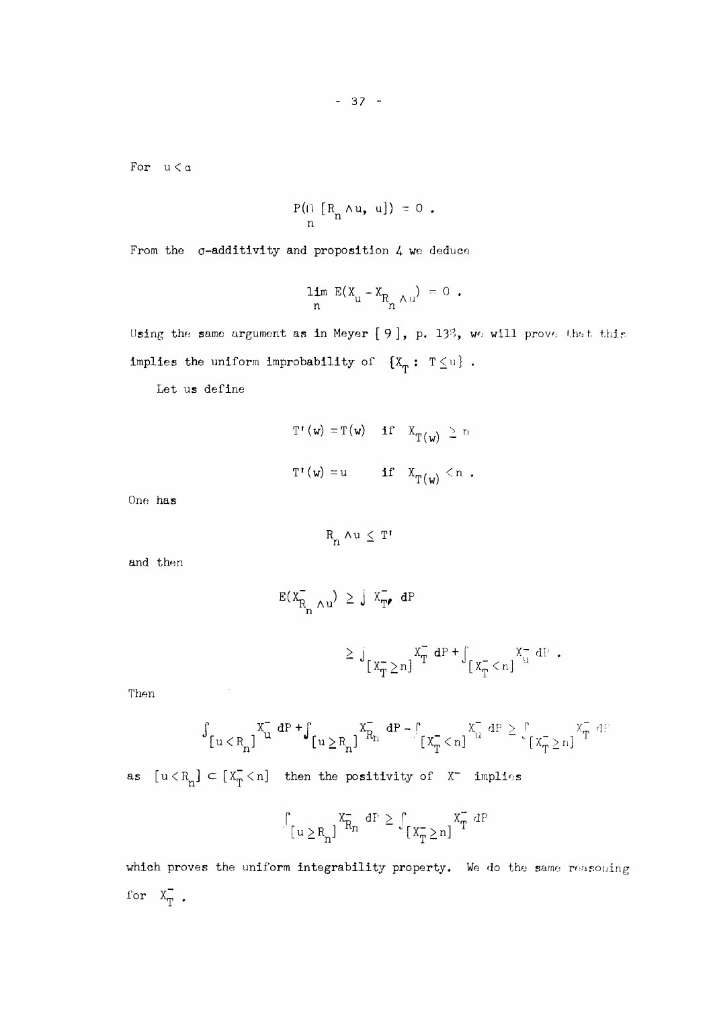For  $u < a$ 

$$
P(\cap \left[R_n \wedge u, u\right]) = 0.
$$

From the  $\sigma$ -additivity and proposition 4 we deduce

$$
\lim_{n} E(X_{u} - X_{R_{n} \wedge u}) = 0.
$$

Using the same argument as in Meyer [9], p. 13<sup>3</sup>, we will prove that this implies the uniform improbability of  $\{X^{\ }_T: \ T\leq u \}$  .

Let us define

T'(w) = T(w) if 
$$
X_{T(w)} \ge n
$$
  
T'(w) = u if  $X_{T(w)} < n$ .

One has

$$
R_n \wedge u \leq T^{\prime}
$$

and then

$$
E(X_{\overline{R}_n \wedge u}) \geq \int X_{\overline{T}} \bullet dP
$$
  

$$
\geq \int_{[X_{\overline{T}} \geq n]} X_{\overline{T}} \bullet dP + \int_{[X_{\overline{T}} \leq n]} X_{u}^{-} dP
$$

Then the contract of the contract of the contract of the contract of the contract of the contract of the contract of the contract of the contract of the contract of the contract of the contract of the contract of the contr

$$
\textstyle \int_{\left\{\,u\,<\,R_{n}\,\right\}}\textstyle x_{u}^{\top}\,dP\,+\textstyle \int_{\left\{\,u\,\geq\,R_{n}\,\right\}}\textstyle x_{R_{n}}^{\top}\,dP\,-\,\int_{\left\{\,X_{T}^{\top}\,<\,n\,\right\}}\textstyle x_{u}^{\top}\,dP\,\geq\,\int_{\left\{\,X_{T}^{\top}\,\geq\,n\,\right\}}\textstyle x_{T}^{\top}\,dP\,\leq\,x_{u}^{\top}\,\int_{\left\{\,X_{T}^{\top}\,\geq\,n\,\right\}}\textstyle x_{u}^{\top}\,dP\,\leq\,x_{u}^{\top}\,\int_{\left\{\,X_{T}^{\top}\,\geq\,n\,\right\}}\textstyle x_{u}^{\top}\,dP\,\leq\,x_{u}^{\top}\,\int_{\left\{\,X_{T}^{\top}\,\geq\,n\,\right\}}\textstyle x_{u}^{\top}\,dP\,\leq\,x_{u}^{\top}\,\int_{\left\{\,X_{T}^{\top}\,\geq\,n\,\right\}}\textstyle x_{u}^{\top}\,dP\,\leq\,x_{u}^{\top}\,\int_{\left\{\,X_{T}^{\top}\,\geq\,n\,\right\}}\textstyle x_{u}^{\top}\,dP\,\leq\,x_{u}^{\top}\,\int_{\left\{\,X_{T}^{\top}\,\geq\,n\,\right\}}\textstyle x_{u}^{\top}\,dP\,\leq\,x_{u}^{\top}\,\int_{\left\{\,X_{T}^{\top}\,\geq\,n\,\right\}}\textstyle x_{u}^{\top}\,dP\,\leq\,x_{u}^{\top}\,\int_{\left\{\,X_{T}^{\top}\,\geq\,n\,\right\}}\textstyle x_{u}^{\top}\,dP\,\leq\,x_{u}^{\top}\,\int_{\left\{\,X_{T}^{\top}\,\geq\,n\,\right\}}\textstyle x_{u}^{\top}\,dP\,\leq\,x_{u}^{\top}\,\int_{\left\{\,X_{T}^{\top}\,\geq\,n\,\right\}}\textstyle x_{u}^{\top}\,dP\,\leq\,x_{u}^{\top}\,\int_{\left\{\,X_{T}^{\top}\,\geq\,n\,\right\
$$

as  $[u < R_n] \subset [X_T^- < n]$  then the positivity of  $X^-$  implies

$$
\int_{[u \ge R_n]} x_{R_n}^{-} dP \ge \int_{[x_{T}^{-} \ge n]} x_{T}^{-} dP
$$

which proves the uniform integrability property. We do the same reasoning for  $X_T^-$ .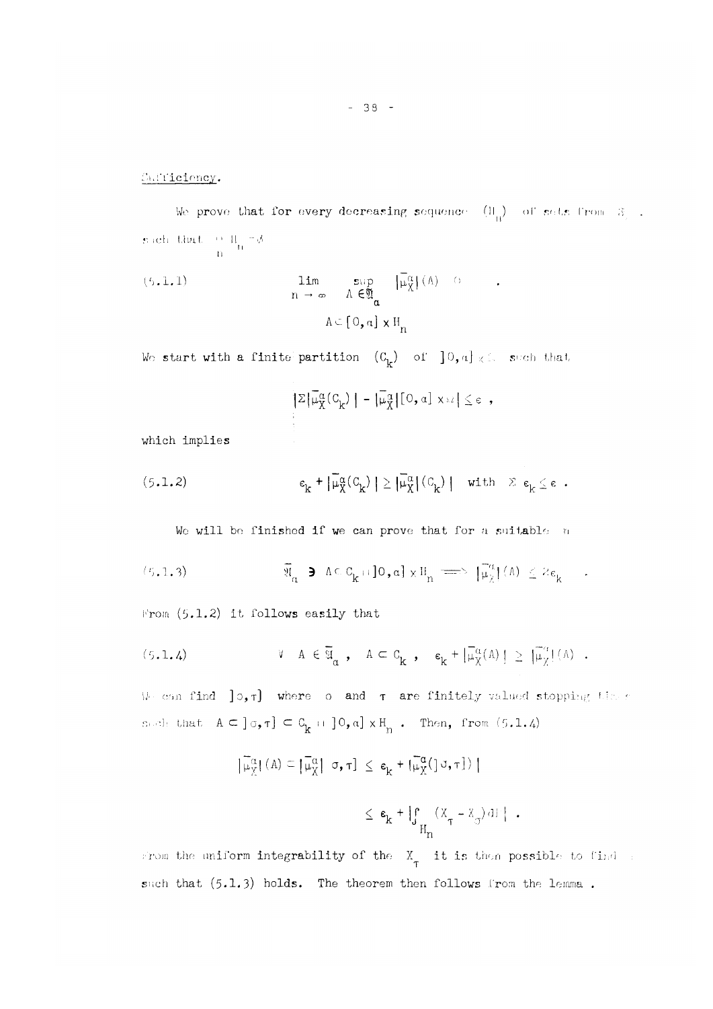fiui'i'icioncy.

We prove that for every decreasing sequence  $(\mathbb{H}_{\mathbf{n}})$  of sets from  $\mathfrak{F}_{\mathbf{n}}$ . **M c h** l.liai. 1 1 II ~</ 11 n

 $\bullet$ 

(5.1.1) 
$$
\lim_{n \to \infty} \sup_{\Lambda \in \mathfrak{A}} |\overline{\mu}_{X}^{\alpha}| (\Lambda) \quad \text{or} \quad \Lambda \in \mathfrak{A}_{\alpha}
$$

We start with a finite partition  $(C^{\ }_k)$  of  $]0, a] \times \mathbb{R}$  such that

$$
|\Sigma|\overline{\mu}_X^{\alpha}(C_{k})| - |\overline{\mu}_X^{\alpha}|[0, \alpha] \times \Omega| \leq \epsilon ,
$$

which implies

$$
\varepsilon_k^{} + \big|\widetilde{\mu}^\alpha_X(\textbf{C}_k^{})\, \big| \geq \big|\widetilde{\mu}^\alpha_X\big|(\textbf{C}_k^{})\, \big| \quad \text{with} \quad \textbf{E} \ \varepsilon_k^{} \leq \varepsilon \enspace .
$$

We will be finished if we can prove that for a suitable n

(5.1.3) 
$$
\overline{\mathfrak{A}}_{\alpha} \ni \Lambda \subset C_{k} \cap ]0, \alpha] \times \mathbb{H}_{n} \implies |\overline{\mu}_{\chi}^{\alpha}|(\Lambda)| \leq 2\varepsilon_{k}.
$$

l''rom *(t).1.2)* it follows easily that

(5.1.4) 
$$
V A \in \overline{\mathfrak{A}}_{\alpha} , A \subset C_{\mathbf{k}} , \mathbf{e}_{\mathbf{k}} + |\overline{\mu}_{\chi}^{\alpha}(A)| \geq |\overline{\mu}_{\chi}^{\alpha}| (A) .
$$

 $\mathbf{f} = \begin{bmatrix} 1 & 1 & 1 \\ 1 & 1 & 1 \\ 1 & 1 & 1 \end{bmatrix}$ 

We can find  $]\circ, \tau]$  where  $\circ$  and  $\tau$  are finitely valued stopping the s  $\mathsf{c}_i$ et that  $\mathsf{A} \subseteq \mathsf{c}_j$  ,  $\mathsf{f} \in \mathsf{C}_{\mathsf{b}}$  ii  $\mathsf{c}_j$  and  $\mathsf{x} \mathsf{H}_{\mathsf{b}}$  . Then, from  $(5.1.4)$ 

$$
\left| \widetilde{\mu}_{X}^{\alpha} \right| (A) \subseteq \left| \widetilde{\mu}_{X}^{\alpha} \right| \sigma, \tau \right| \leq \epsilon_{k} + \left| \widetilde{\mu}_{X}^{\alpha} (\left[ \sigma, \tau \right] ) \right|
$$
  

$$
\leq \epsilon_{k} + \left| \int_{\tau_{\alpha}} (\overline{X}_{\tau} - \overline{X}_{\sigma}) d\Gamma \right| .
$$

from the uniform integrability of the  $\frac{X}{T}$  it is then possible to Cind  $\pm$ such that  $(5.1.3)$  holds. The theorem then follows from the lemma.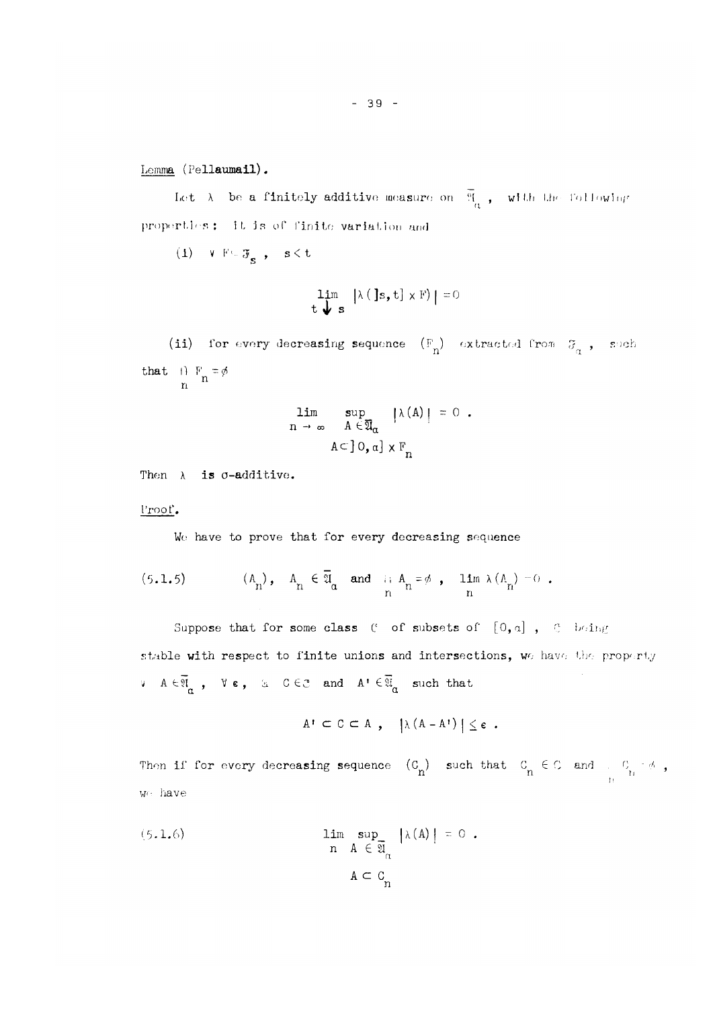Lemma (Pellaumail).

Let  $\lambda$  be a finitely additive measure on  $\mathfrak{A}_{\mathbb{Z}_2}$ , with the following a properties: it is of finite variation and

 $(1)$  V Ft  $\mathfrak{F}_{\mathbf{S}}$  ,  $\mathbf{s} \leq \mathbf{t}$ 

$$
\lim_{t \to \infty} |\lambda(\mathbf{J} s, t] \times F| = 0
$$

(ii) for every decreasing sequence  $(F^{}_{n})$  extracted from  $\sigma^{}_{n}$ , such that  $\begin{pmatrix} 1 & F_n = \phi \\ n & n \end{pmatrix}$ 

$$
\lim_{n \to \infty} \sup_{A \in \overline{\mathfrak{A}}_{\alpha}} |\lambda(A)| = 0.
$$
  

$$
A \subset ]0, \alpha] \times F_n
$$

Then  $\lambda$  is  $\sigma$ -additive.

Proof,

Wo have to prove that for every decreasing sequence

(5.1.5) 
$$
(\Lambda_n), \quad \Lambda_n \in \overline{\mathfrak{A}}_n \text{ and } \quad \underset{n}{\text{and}} \quad \Lambda_n = \emptyset, \quad \underset{n}{\text{lim}} \lambda (\Lambda_n) = 0.
$$

Suppose that for some class  $C$  of subsets of  $[0, a]$ ,  $C$  being stable with respect to finite unions and intersections, we have the property v  $A \in \overline{\mathfrak{A}}_{\alpha}$ ,  $\forall \epsilon$ ,  $\alpha \in \mathbb{C}$  and  $A' \in \overline{\mathfrak{A}}_{\alpha}$  such that

$$
A^{\dagger} \subset C \subset A \; , \quad |\lambda (A - A^{\dagger})| \leq \epsilon \; .
$$

Then if for every decreasing sequence  $(C_{\alpha})$  such that  $C_{\alpha} \in \mathbb{C}$  and ,  $C_{\beta} = \phi$ , h we have

(5.1.6) 
$$
\lim_{n} \sup_{A \in \mathfrak{A}_{\alpha}} |\lambda(A)| = 0.
$$

$$
A \subset C_{n}
$$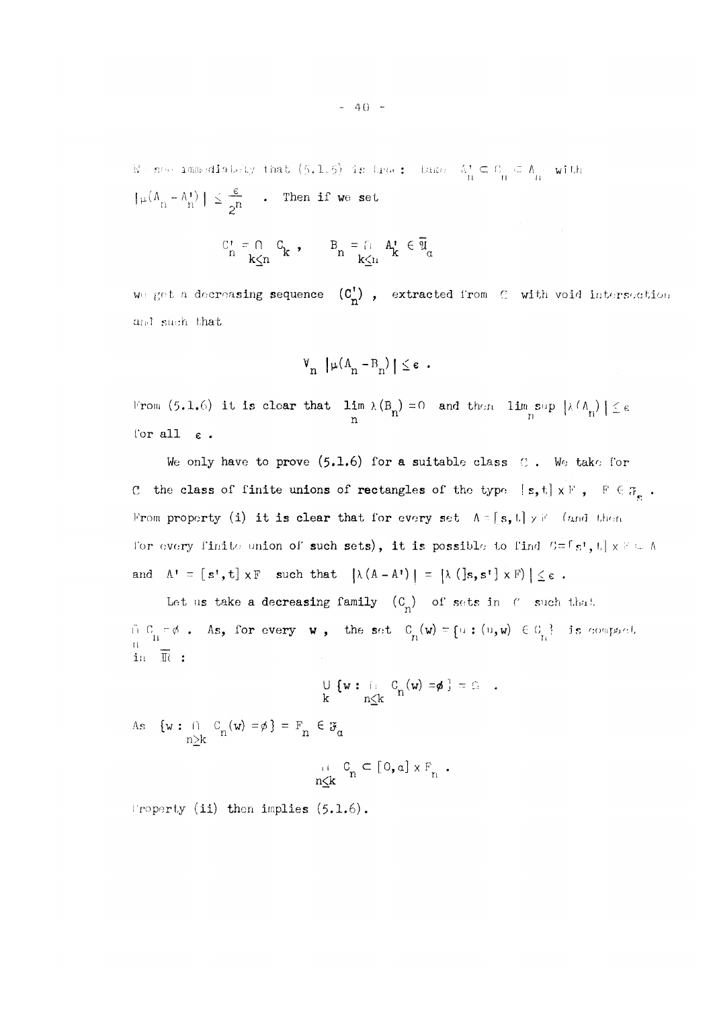$\mathbb{W}$  - see immediately that  $(5.1.5)$  is true:. Lake:.  $\mathbb{A}^+_1 \subseteq \mathbb{O}^-_1 \subseteq \mathbb{A}^-_1$  with: n fi 11  $|\mu(A_{n} - A_{n}^{\dagger})| \geq \frac{1}{\sqrt{n}}$  . Then if we set

$$
\mathcal{C}_n^{\mathbf{t}} = \bigcap_{\mathbf{k} \le n} \mathcal{C}_{\mathbf{k}} \quad , \qquad \mathcal{B}_n = \bigcap_{\mathbf{k} \le n} \mathcal{A}_{\mathbf{k}}^{\mathbf{t}} \in \overline{\mathfrak{A}}_{\alpha}
$$

we get a decreasing sequence  $(C^{\dagger}_{n})$ , extracted from  $\mathcal{O}$  with void intersection and such that

$$
\mathbb{V}_n \left[ \mu(A_n - B_n) \right] \leq \epsilon \quad .
$$

From (5.1.6) it is clear that  $\lim_{\lambda \to 0} \lambda(B_n) = 0$  and then  $\lim_{\lambda \to 0} \sup_{\lambda \in (A_n)} |\leq \epsilon$ n n n n for all  $\varepsilon$ .

We only have to prove  $(5.1.6)$  for a suitable class  $0$ . We take for C the class of finite unions of rectangles of the type  $[s, t] \times F$ ,  $F \in \mathcal{F}_{\mathbf{c}}$ . From property (i) it is clear that for every set  $A = [s, t] \times F$  (and then i'or *ovary* finite- union of such sets), it is possible to find G =rs ! , t | x F ( - A and A<sup>1</sup>  *-* [ s <sup>1</sup> , t] x F such that |\(A - A") j = *\X* (]s,s!] **X** F) | < e .

Let us take a decreasing family  $(C_n)$  of sets in f such that  $f_1 \circ f_2 = \emptyset$ . As, for every w, the set  $C_{n}(w) = \{u : (u,w) \in C_{n}\}$  is compact. n in *It :* 

$$
\bigcup_{k} \{ w : \bigcap_{n \leq k} C_n(w) = \phi \} = \Omega \quad .
$$

As  $\{w : \cap_{n\geq k} C_n(w) = \emptyset\} = F_n \in \mathcal{F}_{\alpha}$ 

$$
\underset{n\leq k}{\cup} C_n \subseteq [0,a] \times F_n.
$$

Property (ii) then implies (5.1.6).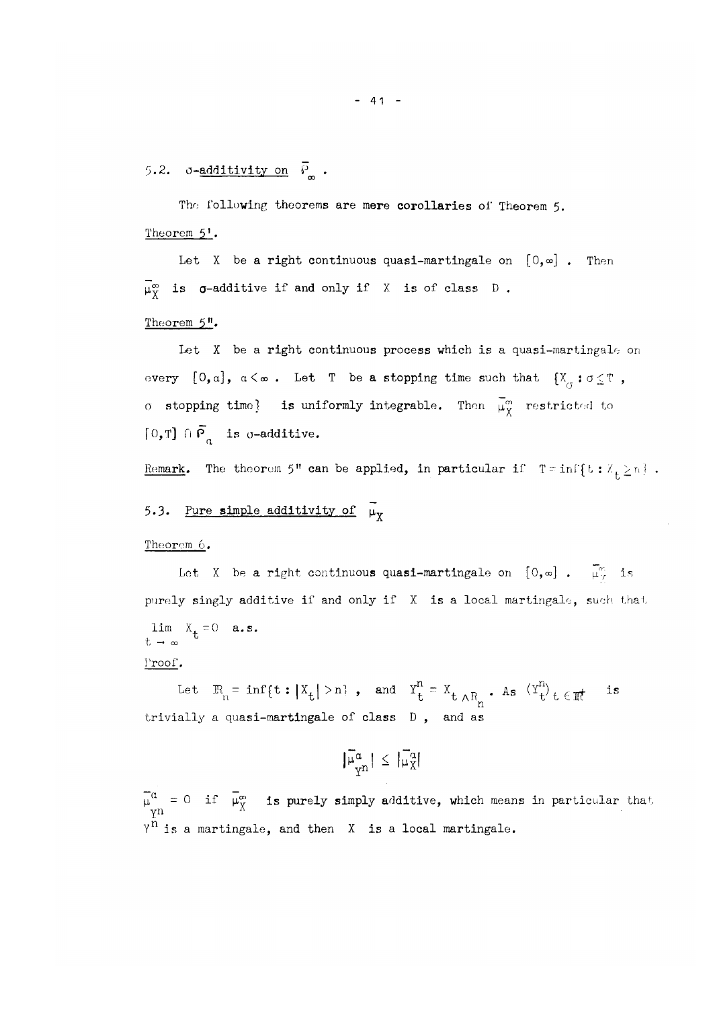5.2.  $\sigma$ -<u>additivity on</u>  $\bar{P}_{\infty}$ .

The following theorems are mere corollaries of Theorem 5. Theorem  $5!$ .

Let X be a right continuous quasi-martingale on  $[0, \infty]$ . Then  $\overline{\mu}_{Y}^{\infty}$  is  $\sigma$ -additive if and only if X is of class D.

#### Theorem 5".

Let X be a right continuous process which is a quasi-martingale on every  $[0, \alpha]$ ,  $\alpha < \infty$ . Let T be a stopping time such that  $\{X_{\alpha} : \alpha \leq T\}$ , o stopping time} is uniformly integrable. Then  $\overline{\mu}_{X}^{m}$  restricted to [0,T]  $\bigcap \overline{P}_\alpha$  is q-additive.

<u>Remark</u>. The theorem 5" can be applied, in particular if  $T = \inf\{t : X_t \ge n\}$  .

# 5.3. <u>Pure simple additivity of</u>  $\mu_{\chi}$

#### Theorem **6.**

Let X be a right continuous quasi-martingale on  $[0,\infty]$ .  $\overline{\mu}_{\gamma}^{\infty}$  is purely singly additive if and only if X is a local martingale, such that  $\lim X_{+}=0$  **a.s.**  $t \rightarrow \infty$ 

#### Proof.

Let  $\mathbb{R}_{n} = \inf\{t : |X_t| > n\}$ , and  $Y_t^n = X_{t \wedge R_n}$ . As  $(Y_t^n)_{t \in \mathbb{R}}$  is trivially a quasi-martingale of class D , and as

$$
|\bar{\mu}_{\mathrm{Y}^n}^{\alpha}| \leq |\bar{\mu}_{\mathrm{X}}^{\alpha}|
$$

 $\mu^{\mu}$  = 0 if  $\mu^{\omega}_{\nu}$  is purely simply additive, which means in particular that Y n Y n is a martingale, and then X is a local martingale.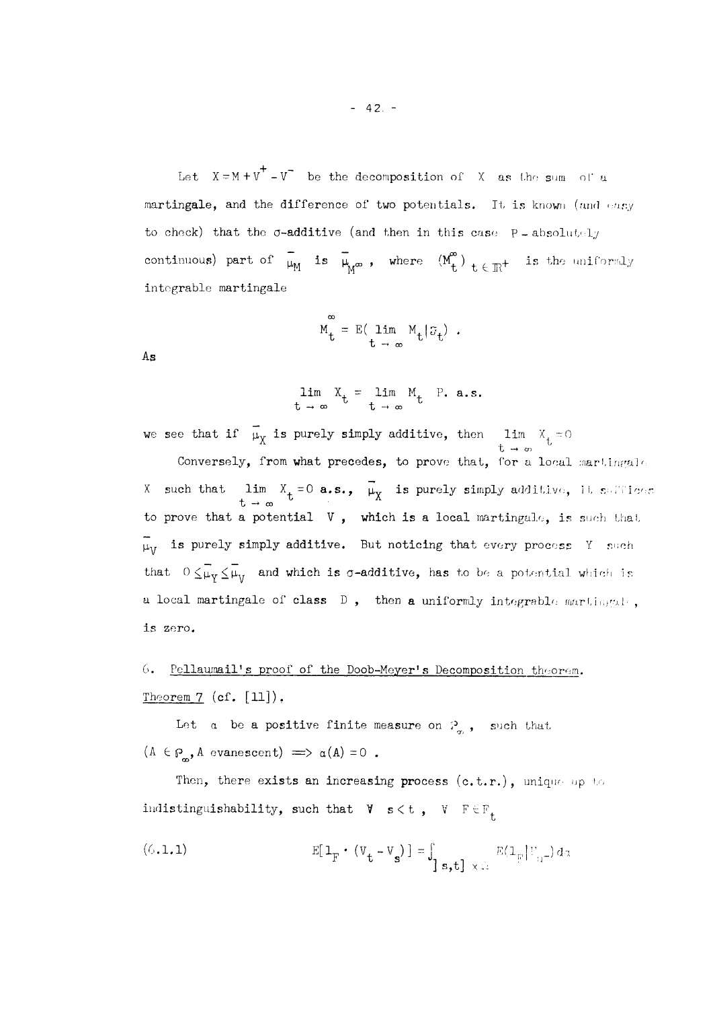Let  $X = M + V^+ - V^-$  be the decomposition of X as the sum of a martingale, and the difference of two potentials. It is known (and easy to check) that the  $\sigma$ -additive (and then in this case  $P$  - absolutely continuous) part of  $\overline{\mu}_{M}$  is  $\overline{\mu}_{M^{\infty}}$ , where  $(M^{\infty}_{t})$   $_{t \in \mathbb{R}^{+}}$  is the uniformly integrable martingale

$$
M_t = E(\lim_{t \to \infty} M_t | \mathfrak{F}_t) .
$$

As

$$
\lim_{t \to \infty} X_t = \lim_{t \to \infty} M_t \quad P. \ a.s.
$$

we see that if  $\mu_{\mathbf{v}}$  is purely simply additive, then  $\lim_{\mathbf{v}} X_{\mu} = 0$  $t \rightarrow \infty$ 

 $x \rightarrow \infty$  a.s., p,v is purely simply additive, it suffices additive, it suffices additive, it suffices additive, it suffices and it suffices are  $x \rightarrow \infty$ *x* boreiners *i* **b** *All*  $\mu_{\rm V}$  is purely simply additive. But noticing that every process Y such that  $0 \le \overline{\mu}_V \le \overline{\mu}_V$  and which is  $\sigma$ -additive, has to be a potential which is a local martingale of class D, then a uniformly integrable martingal, a local martingale of class D , then a uniformly integrable mart **Í.n^AL ' ,** 

**6.** Pellaumail! s proof of the Doob-Meyer's Decomposition theorem. Theorem  $7$  (cf.  $[11]$ ).

Let  $\alpha$  be a positive finite measure on  $\mathcal{P}_{\alpha}$ , such that  $(A \in \mathcal{P}_{\mathbf{m}}, A \text{ evanescent}) \implies \alpha(A) = 0$ .

Then, there exists an increasing process (c.t.r.), unique up to indistinguishability, such that  $\forall s \leq t$ ,  $\forall s \in \mathbb{F}_{t}$ 

(6.1.1) 
$$
E[\mathbf{1}_{F} \cdot (V_{t} - V_{s})] = \int_{s_{t}^{2}} E(\mathbf{1}_{F} | V_{t} - \mathbf{1}) d\alpha
$$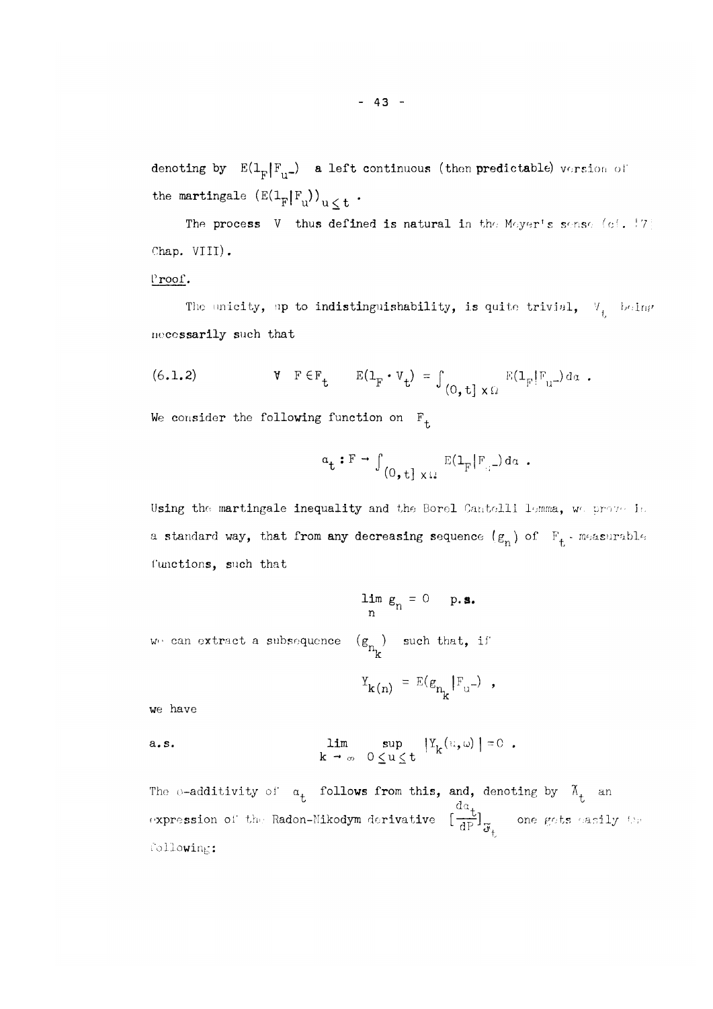denoting by  $E(1_F |F_{u-})$  a left continuous (then predictable) version of the martingale  $(E(1_F|F_u))_{u \leq t}$ .

The process  $V$  thus defined is natural in the Meyer's sense (cf. !7] Chap. VIII).

#### Proof.

The unicity, up to indistinguishability, is quite trivial,  $V_i$  being necessarily such that

(6.1.2) 
$$
\mathbf{V} \quad \mathbf{F} \in \mathbf{F}_{t} \qquad \mathbf{E}(\mathbf{1}_{F} \cdot \mathbf{V}_{t}) = \int_{(0, t] \times \Omega} \mathbf{E}(\mathbf{1}_{F} | \mathbf{F}_{u^{-}}) d\alpha.
$$

We consider the following function on  $F^{\text{}}_{\text{t}}$ 

$$
\alpha_{\mathbf{t}} : \mathbf{F} \to \int_{(0, \mathbf{t}] \times \Omega} E(\mathbf{1}_{\mathbf{F}} | \mathbf{F}_{\alpha^{-}}) d\alpha.
$$

Using the martingale inequality and the Borel Cantelli lemma, we prove in a standard way, that from any decreasing sequence  $(g_n)$  of  $F_t$  - measurable functions, such that

$$
\lim_{n} g_{n} = 0 \quad \text{p.s.}
$$
  
  

$$
w_{1} = 0 \quad \text{p.s.}
$$
  
  

$$
w_{2} = E(g_{n} | F_{n-1})
$$

 $\mathbb{R}$  n

we have

a.s. 
$$
\lim_{k \to \infty} \sup_{0 \leq u \leq t} |Y_k(v, \omega)| = 0.
$$

The o-additivity of  $a_t$  follows from this, and, denoting by  $\tilde{A}_t$  and  $a^{\dagger}$ expression of the Radon-Nikodym derivative  $\lfloor \frac{-\omega}{AD} \rfloor_{\sim}$  one gets easily the  $\mathfrak{a}_\mathsf{L}$ following: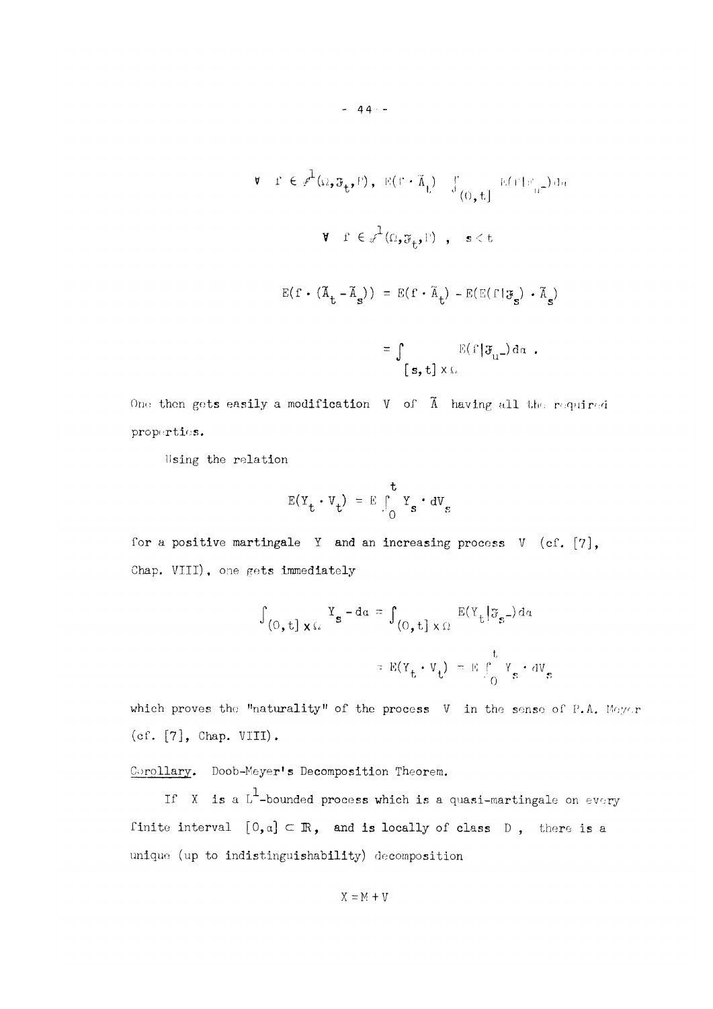$$
\mathbf{v} \quad \mathbf{r} \in \mathcal{F}^{1}(\Omega_{\bullet}, \mathfrak{F}_{\mathbf{t}}, \mathbf{F}), \quad \mathbb{E}(\mathbf{r} \cdot \widetilde{\mathbf{A}}_{\mathbf{t}}) = \int_{(\Omega_{\bullet}, \mathbf{t})}^{\infty} \mathbb{E}(\mathbf{r} \cdot \mathbf{r}_{\mathbf{u}}^{\perp}) d\alpha
$$
\n
$$
\mathbf{v} \quad \mathbf{r} \in \mathcal{F}^{1}(\Omega_{\bullet}, \mathfrak{F}_{\mathbf{t}}, \mathbf{F}), \quad \mathbf{s} < \mathbf{t}
$$
\n
$$
\mathbb{E}(\mathbf{f} \cdot (\widetilde{\mathbf{A}}_{\mathbf{t}} - \widetilde{\mathbf{A}}_{\mathbf{s}})) = \mathbb{E}(\mathbf{f} \cdot \widetilde{\mathbf{A}}_{\mathbf{t}}) - \mathbb{E}(\mathbb{E}(\mathbf{f} \cdot \mathfrak{F}_{\mathbf{s}}) \cdot \widetilde{\mathbf{A}}_{\mathbf{s}})
$$
\n
$$
= \int_{[\mathbf{s}, \mathbf{t}] \times \Omega} \mathbb{E}(\mathbf{f} \cdot \mathfrak{F}_{\mathbf{u}}^{\perp}) d\alpha.
$$

One then gets easily a modification  $V$  of  $\tilde{A}$  having all the required properties.

Using the relation

$$
E(Y_t \cdot V_t) = E \int_0^t Y_s \cdot dV_s
$$

for a positive martingale Y and an increasing process  $V$  (cf.  $[7]$ , Chap. VIII), one gets immediately

$$
\int_{(0, t] \times \Omega} Y_{\mathbf{s}} - d\alpha = \int_{(0, t] \times \Omega} E(Y_t | \mathfrak{F}_{\mathbf{s}}) d\alpha
$$

$$
= E(Y_t \cdot V_t) = E \int_{0}^{t} Y_{\mathbf{s}} \cdot dV_{\mathbf{s}}
$$

 $(cf. [7], Chap. VIII).$ 

Corollary. Doob-Meyer's Decomposition Theorem.

If X is a  $L^1$ -bounded process which is a quasi-martingale on every finite interval  $[0, \alpha] \subset \mathbb{R}$ , and is locally of class D, there is a unique (up to indistinguishability) decomposition

$$
X = M + V
$$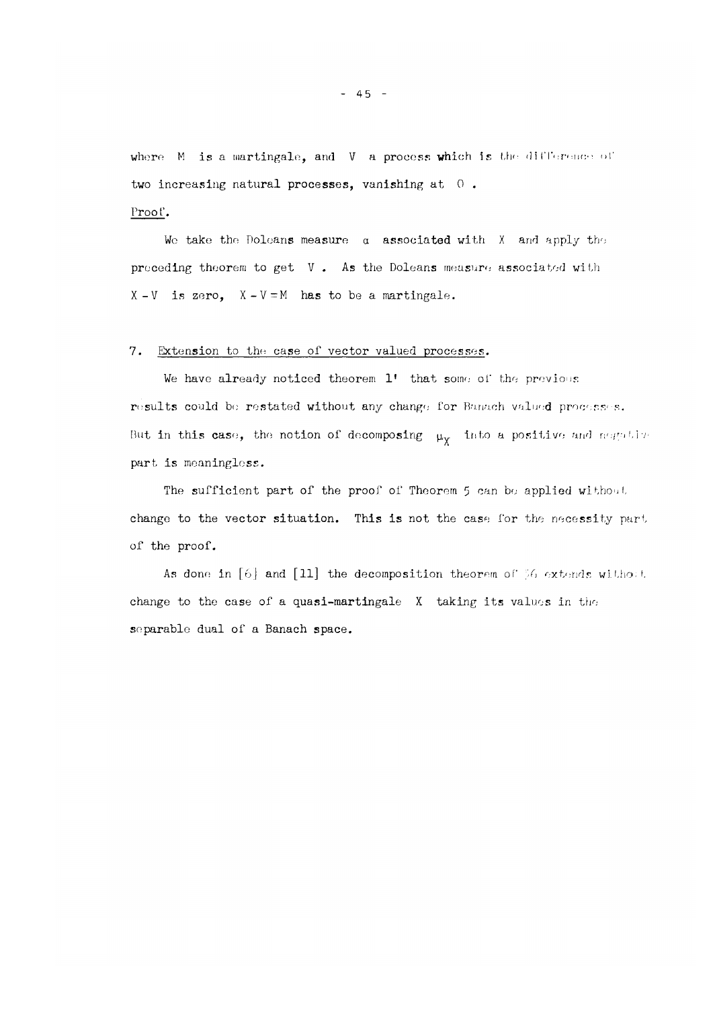where  $M$  is a martingale, and  $V$  a process which is the difference of two increasing natural processes, vanishing at  $0$ .

We take the Dolcans measure a associated with X and apply the preceding theorem to get V . As the Doleans measure associated with  $X - V$  is zero,  $X - V = M$  has to be a martingale.

#### 7. Extension to the case of vector valued processes.

Proof.

We have already noticed theorem 1' that some of the previous results could be restated without any change for Banach valued processes . But in this case, the notion of decomposing  $-\mu_X$  -into a positive and negative part is meaningless.

The sufficient part of the proof of Theorem 5 can be applied without change to the vector situation. This is not the case for the necessity part of the proof.

As done in [6] and [11] the decomposition theorem of  $%$ *0* extends without change to the case of a quasi-martingale X taking its values in the separable dual of a Banach space.